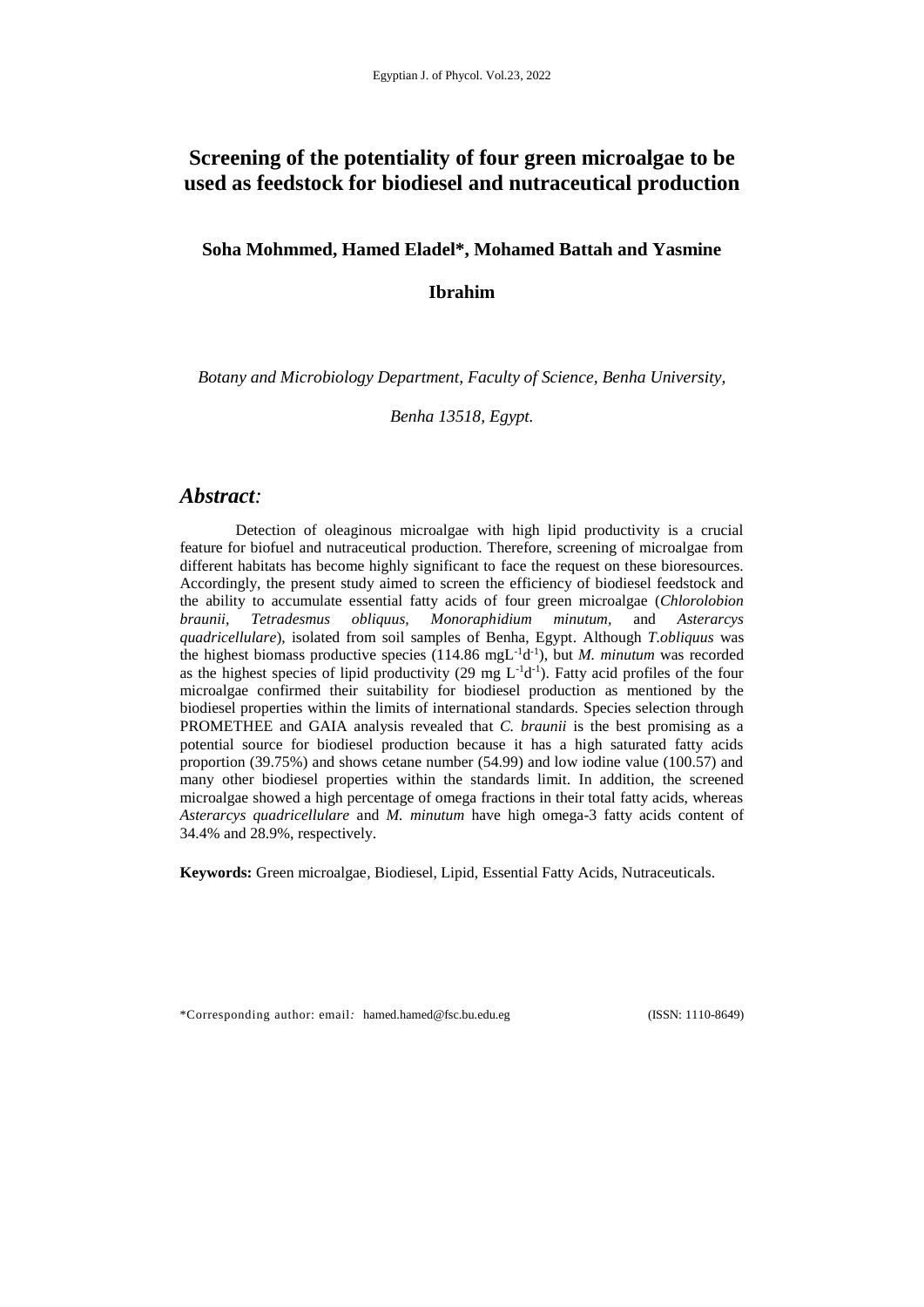# **Screening of the potentiality of four green microalgae to be used as feedstock for biodiesel and nutraceutical production**

**Soha Mohmmed, Hamed Eladel\*, Mohamed Battah and Yasmine** 

# **Ibrahim**

*Botany and Microbiology Department, Faculty of Science, Benha University,* 

*Benha 13518, Egypt.*

# *Abstract:*

Detection of oleaginous microalgae with high lipid productivity is a crucial feature for biofuel and nutraceutical production. Therefore, screening of microalgae from different habitats has become highly significant to face the request on these bioresources. Accordingly, the present study aimed to screen the efficiency of biodiesel feedstock and the ability to accumulate essential fatty acids of four green microalgae (*Chlorolobion braunii, Tetradesmus obliquus, Monoraphidium minutum,* and *Asterarcys quadricellulare*), isolated from soil samples of Benha, Egypt. Although *T.obliquus* was the highest biomass productive species  $(114.86 \text{ mgL}^{-1}d^{-1})$ , but *M. minutum* was recorded as the highest species of lipid productivity (29 mg  $L^{-1}d^{-1}$ ). Fatty acid profiles of the four microalgae confirmed their suitability for biodiesel production as mentioned by the biodiesel properties within the limits of international standards. Species selection through PROMETHEE and GAIA analysis revealed that *C. braunii* is the best promising as a potential source for biodiesel production because it has a high saturated fatty acids proportion (39.75%) and shows cetane number (54.99) and low iodine value (100.57) and many other biodiesel properties within the standards limit. In addition, the screened microalgae showed a high percentage of omega fractions in their total fatty acids, whereas *Asterarcys quadricellulare* and *M. minutum* have high omega-3 fatty acids content of 34.4% and 28.9%, respectively.

**Keywords:** Green microalgae, Biodiesel, Lipid, Essential Fatty Acids, Nutraceuticals.

\*Corresponding author: email*:* [hamed.hamed@fsc.bu.edu.eg](mailto:hamed.hamed@fsc.bu.edu.eg) (ISSN: 1110-8649)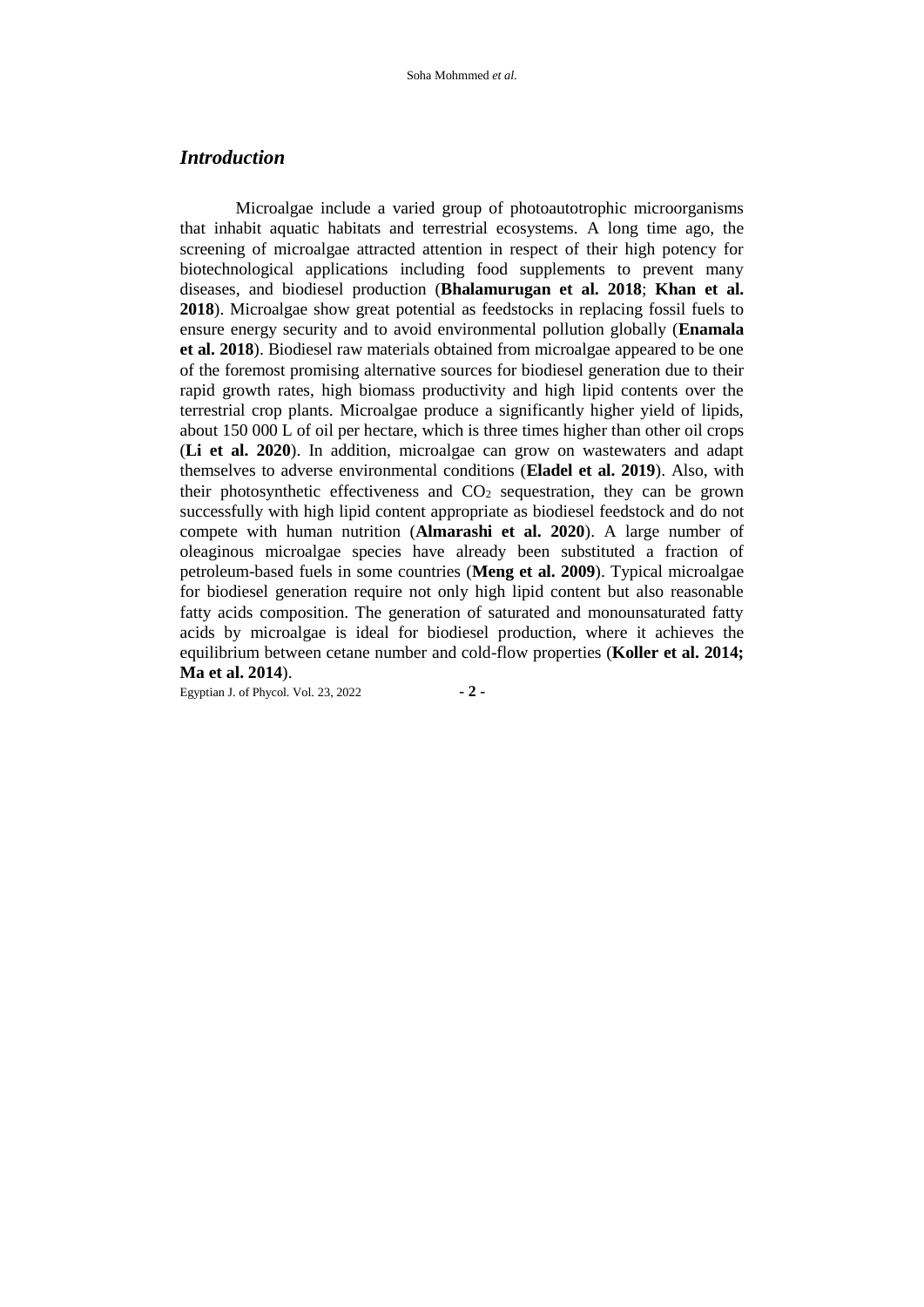## *Introduction*

Microalgae include a varied group of photoautotrophic microorganisms that inhabit aquatic habitats and terrestrial ecosystems. A long time ago, the screening of microalgae attracted attention in respect of their high potency for biotechnological applications including food supplements to prevent many diseases, and biodiesel production (**Bhalamurugan et al. 2018**; **Khan et al. 2018**). Microalgae show great potential as feedstocks in replacing fossil fuels to ensure energy security and to avoid environmental pollution globally (**Enamala et al. 2018**). Biodiesel raw materials obtained from microalgae appeared to be one of the foremost promising alternative sources for biodiesel generation due to their rapid growth rates, high biomass productivity and high lipid contents over the terrestrial crop plants. Microalgae produce a significantly higher yield of lipids, about 150 000 L of oil per hectare, which is three times higher than other oil crops (**Li et al. 2020**). In addition, microalgae can grow on wastewaters and adapt themselves to adverse environmental conditions (**Eladel et al. 2019**). Also, with their photosynthetic effectiveness and  $CO<sub>2</sub>$  sequestration, they can be grown successfully with high lipid content appropriate as biodiesel feedstock and do not compete with human nutrition (**Almarashi et al. 2020**). A large number of oleaginous microalgae species have already been substituted a fraction of petroleum-based fuels in some countries (**Meng et al. 2009**). Typical microalgae for biodiesel generation require not only high lipid content but also reasonable fatty acids composition. The generation of saturated and monounsaturated fatty acids by microalgae is ideal for biodiesel production, where it achieves the equilibrium between cetane number and cold-flow properties (**Koller et al. 2014; Ma et al. 2014**).

Egyptian J. of Phycol. Vol. 23, 2022 **- 2 -**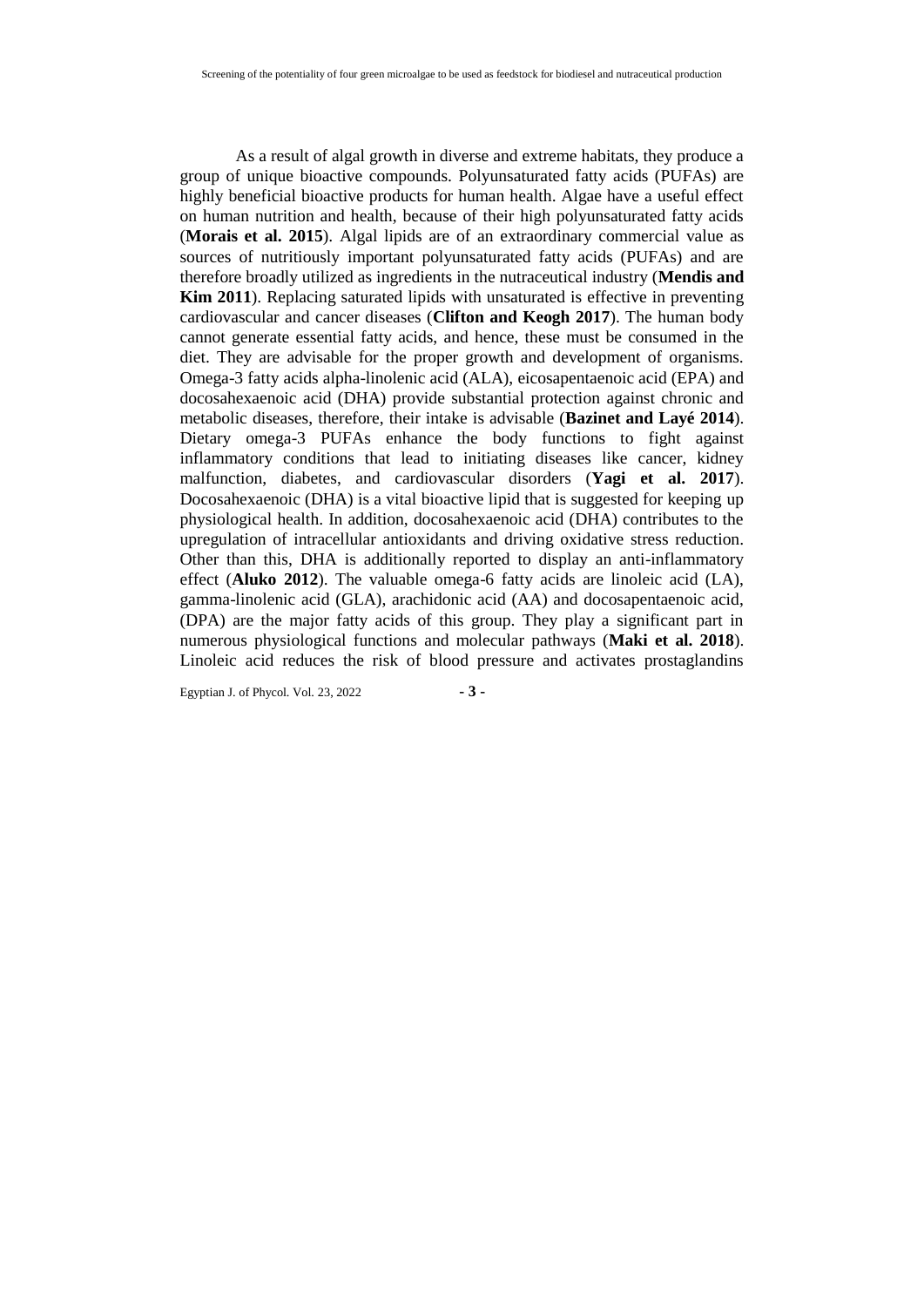As a result of algal growth in diverse and extreme habitats, they produce a group of unique bioactive compounds. Polyunsaturated fatty acids (PUFAs) are highly beneficial bioactive products for human health. Algae have a useful effect on human nutrition and health, because of their high polyunsaturated fatty acids (**Morais et al. 2015**). Algal lipids are of an extraordinary commercial value as sources of nutritiously important polyunsaturated fatty acids (PUFAs) and are therefore broadly utilized as ingredients in the nutraceutical industry (**Mendis and Kim 2011**). Replacing saturated lipids with unsaturated is effective in preventing cardiovascular and cancer diseases (**Clifton and Keogh 2017**). The human body cannot generate essential fatty acids, and hence, these must be consumed in the diet. They are advisable for the proper growth and development of organisms. Omega-3 fatty acids alpha-linolenic acid (ALA), eicosapentaenoic acid (EPA) and docosahexaenoic acid (DHA) provide substantial protection against chronic and metabolic diseases, therefore, their intake is advisable (**Bazinet and Layé 2014**). Dietary omega-3 PUFAs enhance the body functions to fight against inflammatory conditions that lead to initiating diseases like cancer, kidney malfunction, diabetes, and cardiovascular disorders (**Yagi et al. 2017**). Docosahexaenoic (DHA) is a vital bioactive lipid that is suggested for keeping up physiological health. In addition, docosahexaenoic acid (DHA) contributes to the upregulation of intracellular antioxidants and driving oxidative stress reduction. Other than this, DHA is additionally reported to display an anti-inflammatory effect (**Aluko 2012**). The valuable omega-6 fatty acids are linoleic acid (LA), gamma-linolenic acid (GLA), arachidonic acid (AA) and docosapentaenoic acid, (DPA) are the major fatty acids of this group. They play a significant part in numerous physiological functions and molecular pathways (**Maki et al. 2018**). Linoleic acid reduces the risk of blood pressure and activates prostaglandins

Egyptian J. of Phycol. Vol. 23, 2022 **- 3 -**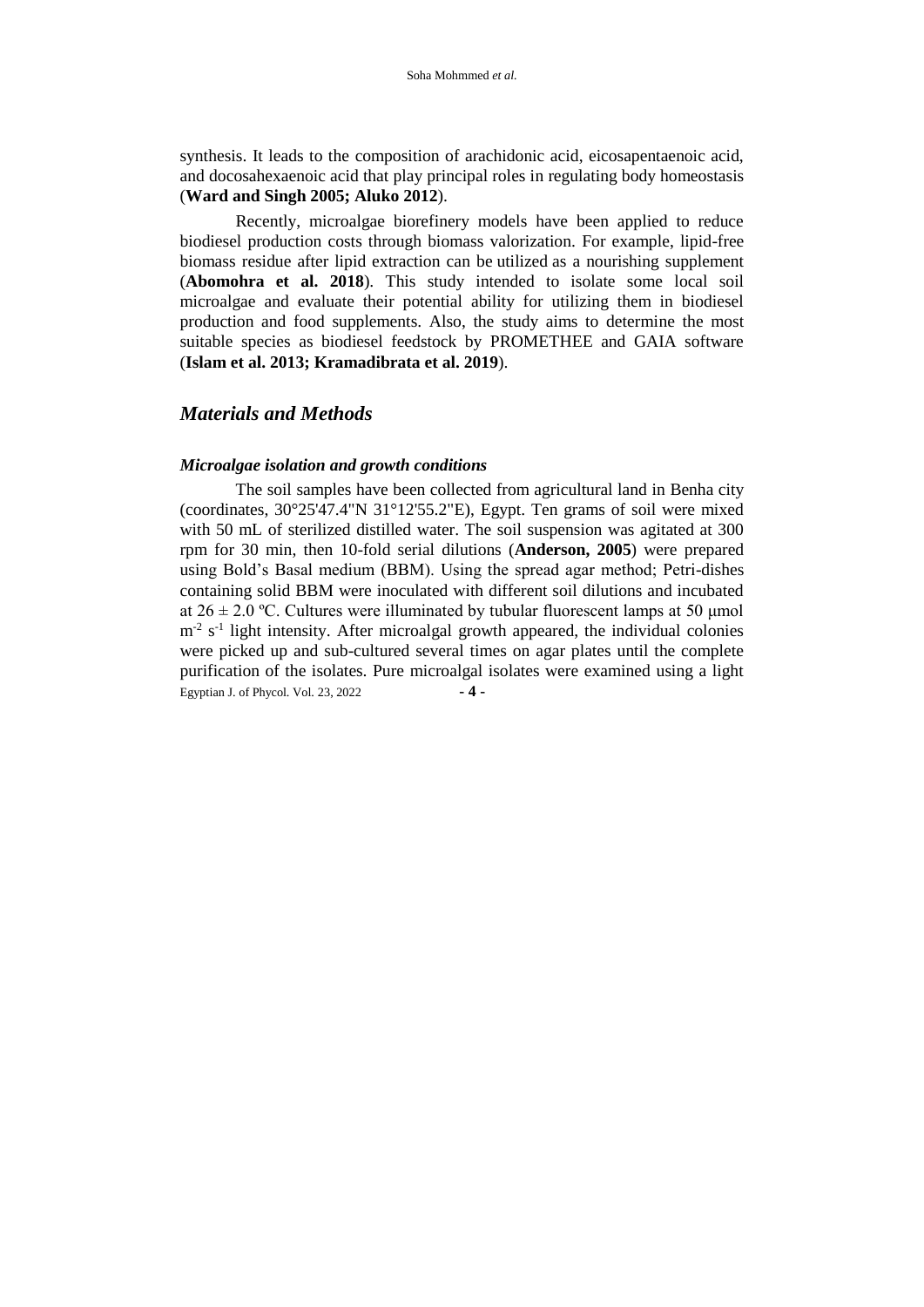synthesis. It leads to the composition of arachidonic acid, eicosapentaenoic acid, and docosahexaenoic acid that play principal roles in regulating body homeostasis (**Ward and Singh 2005; Aluko 2012**).

Recently, microalgae biorefinery models have been applied to reduce biodiesel production costs through biomass valorization. For example, lipid-free biomass residue after lipid extraction can be utilized as a nourishing supplement (**Abomohra et al. 2018**). This study intended to isolate some local soil microalgae and evaluate their potential ability for utilizing them in biodiesel production and food supplements. Also, the study aims to determine the most suitable species as biodiesel feedstock by PROMETHEE and GAIA software (**Islam et al. 2013; Kramadibrata et al. 2019**).

## *Materials and Methods*

## *Microalgae isolation and growth conditions*

Egyptian J. of Phycol. Vol. 23, 2022 **- 4 -** The soil samples have been collected from agricultural land in Benha city (coordinates, 30°25'47.4"N 31°12'55.2"E), Egypt. Ten grams of soil were mixed with 50 mL of sterilized distilled water. The soil suspension was agitated at 300 rpm for 30 min, then 10-fold serial dilutions (**Anderson, 2005**) were prepared using Bold's Basal medium (BBM). Using the spread agar method; Petri-dishes containing solid BBM were inoculated with different soil dilutions and incubated at  $26 \pm 2.0$  °C. Cultures were illuminated by tubular fluorescent lamps at 50 µmol  $m<sup>-2</sup>$  s<sup>-1</sup> light intensity. After microalgal growth appeared, the individual colonies were picked up and sub-cultured several times on agar plates until the complete purification of the isolates. Pure microalgal isolates were examined using a light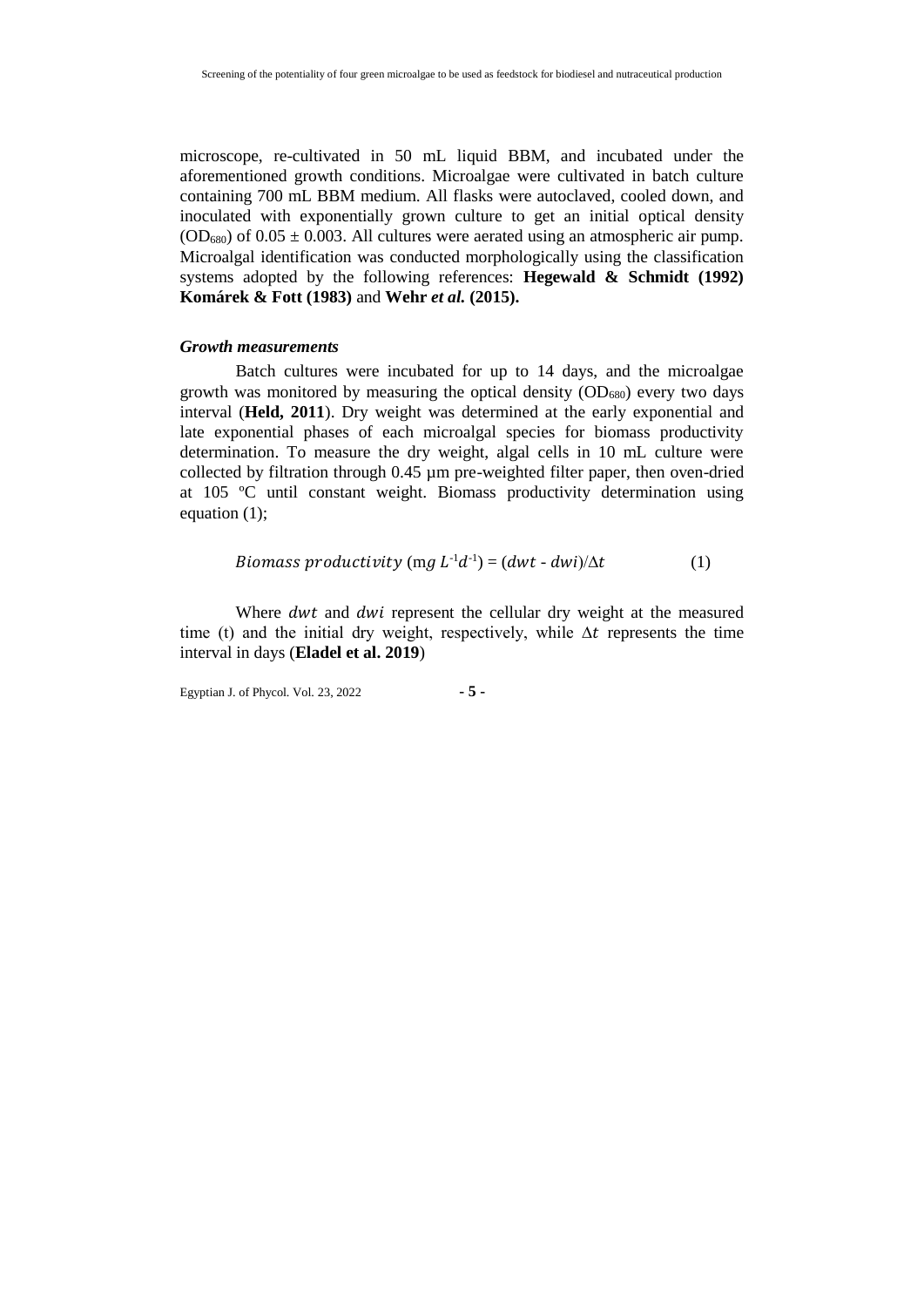microscope, re-cultivated in 50 mL liquid BBM, and incubated under the aforementioned growth conditions. Microalgae were cultivated in batch culture containing 700 mL BBM medium. All flasks were autoclaved, cooled down, and inoculated with exponentially grown culture to get an initial optical density  $(OD_{680})$  of  $0.05 \pm 0.003$ . All cultures were aerated using an atmospheric air pump. Microalgal identification was conducted morphologically using the classification systems adopted by the following references: **Hegewald & Schmidt (1992) Komárek & Fott (1983)** and **Wehr** *et al.* **(2015).**

#### *Growth measurements*

Batch cultures were incubated for up to 14 days, and the microalgae growth was monitored by measuring the optical density  $(OD_{680})$  every two days interval (**Held, 2011**). Dry weight was determined at the early exponential and late exponential phases of each microalgal species for biomass productivity determination. To measure the dry weight, algal cells in 10 mL culture were collected by filtration through 0.45 µm pre-weighted filter paper, then oven-dried at 105 ºC until constant weight. Biomass productivity determination using equation (1);

*Biomass productivity* (mg 
$$
L^{-1}d^{-1}
$$
) =  $(dwt - dwi)/\Delta t$  (1)

Where dwt and dwi represent the cellular dry weight at the measured time (t) and the initial dry weight, respectively, while  $\Delta t$  represents the time interval in days (**Eladel et al. 2019**)

Egyptian J. of Phycol. Vol. 23, 2022 **- 5 -**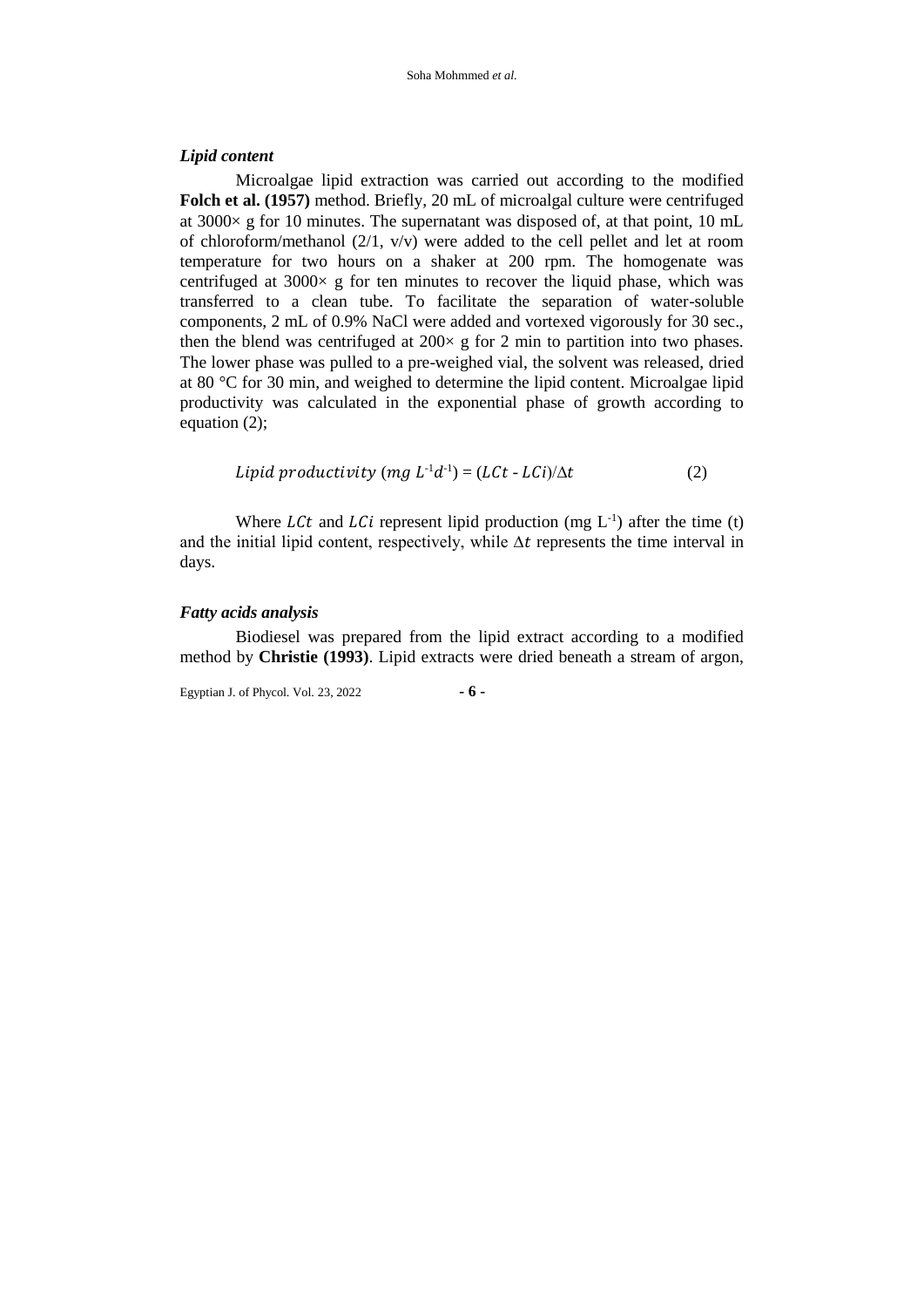#### *Lipid content*

Microalgae lipid extraction was carried out according to the modified **Folch et al. (1957)** method. Briefly, 20 mL of microalgal culture were centrifuged at 3000× g for 10 minutes. The supernatant was disposed of, at that point, 10 mL of chloroform/methanol (2/1, v/v) were added to the cell pellet and let at room temperature for two hours on a shaker at 200 rpm. The homogenate was centrifuged at  $3000 \times g$  for ten minutes to recover the liquid phase, which was transferred to a clean tube. To facilitate the separation of water-soluble components, 2 mL of 0.9% NaCl were added and vortexed vigorously for 30 sec., then the blend was centrifuged at  $200 \times g$  for 2 min to partition into two phases. The lower phase was pulled to a pre-weighed vial, the solvent was released, dried at 80 °C for 30 min, and weighed to determine the lipid content. Microalgae lipid productivity was calculated in the exponential phase of growth according to equation (2);

$$
Lipid productivity (mg L-1d-1) = (L Ct - LCi)/\Delta t
$$
 (2)

Where *LCt* and *LCi* represent lipid production (mg  $L^{-1}$ ) after the time (t) and the initial lipid content, respectively, while  $\Delta t$  represents the time interval in days.

#### *Fatty acids analysis*

Biodiesel was prepared from the lipid extract according to a modified method by **Christie (1993)**. Lipid extracts were dried beneath a stream of argon,

Egyptian J. of Phycol. Vol. 23, 2022 **- 6 -**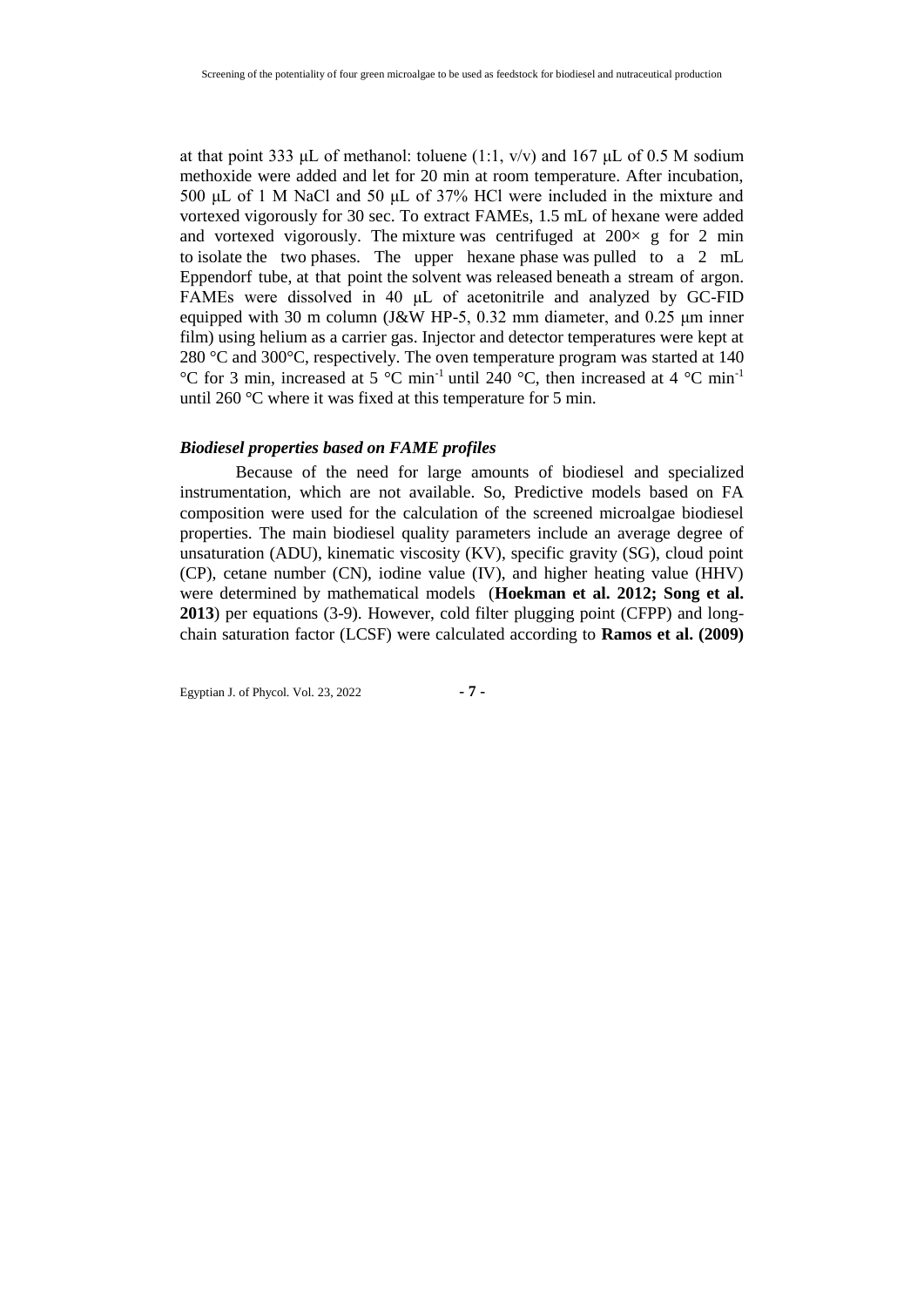at that point 333 μL of methanol: toluene (1:1,  $v/v$ ) and 167 μL of 0.5 M sodium methoxide were added and let for 20 min at room temperature. After incubation, 500 μL of 1 M NaCl and 50 μL of 37% HCl were included in the mixture and vortexed vigorously for 30 sec. To extract FAMEs, 1.5 mL of hexane were added and vortexed vigorously. The mixture was centrifuged at  $200 \times g$  for 2 min to isolate the two phases. The upper hexane phase was pulled to a 2 mL Eppendorf tube, at that point the solvent was released beneath a stream of argon. FAMEs were dissolved in 40 μL of acetonitrile and analyzed by GC-FID equipped with 30 m column (J&W HP-5, 0.32 mm diameter, and 0.25 μm inner film) using helium as a carrier gas. Injector and detector temperatures were kept at 280 °C and 300°C, respectively. The oven temperature program was started at 140 °C for 3 min, increased at 5 °C min<sup>-1</sup> until 240 °C, then increased at 4 °C min<sup>-1</sup> until 260 °C where it was fixed at this temperature for 5 min.

#### *Biodiesel properties based on FAME profiles*

Because of the need for large amounts of biodiesel and specialized instrumentation, which are not available. So, Predictive models based on FA composition were used for the calculation of the screened microalgae biodiesel properties. The main biodiesel quality parameters include an average degree of unsaturation (ADU), kinematic viscosity (KV), specific gravity (SG), cloud point (CP), cetane number (CN), iodine value (IV), and higher heating value (HHV) were determined by mathematical models (**Hoekman et al. 2012; Song et al. 2013**) per equations (3-9). However, cold filter plugging point (CFPP) and longchain saturation factor (LCSF) were calculated according to **Ramos et al. (2009)**

Egyptian J. of Phycol. Vol. 23, 2022 **- 7 -**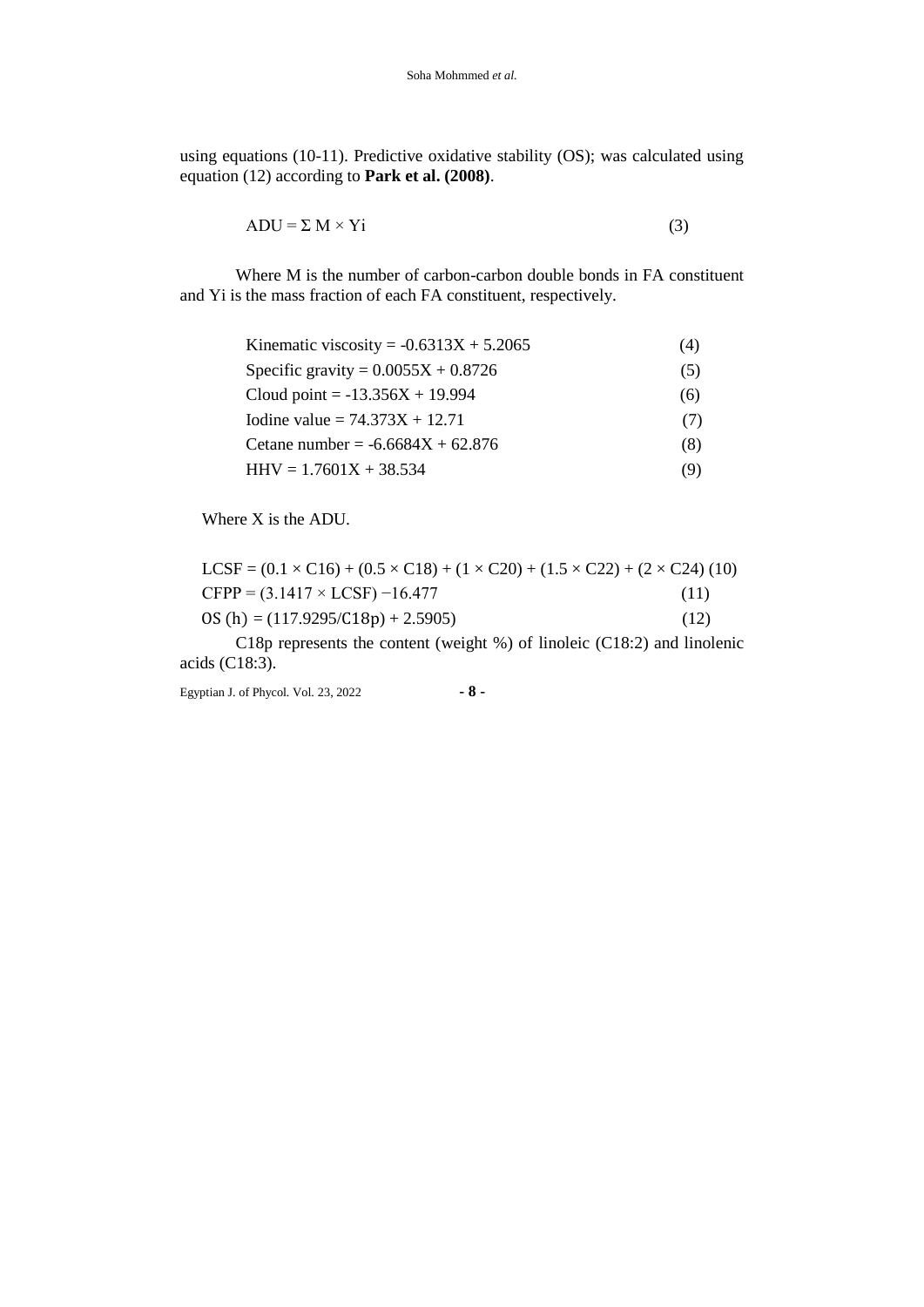using equations (10-11). Predictive oxidative stability (OS); was calculated using equation (12) according to **Park et al. (2008)**.

$$
ADU = \Sigma M \times Yi
$$
 (3)

Where M is the number of carbon-carbon double bonds in FA constituent and Yi is the mass fraction of each FA constituent, respectively.

| Kinematic viscosity = $-0.6313X + 5.2065$ | (4) |
|-------------------------------------------|-----|
| Specific gravity = $0.0055X + 0.8726$     | (5) |
| Cloud point = $-13.356X + 19.994$         | (6) |
| Iodine value = $74.373X + 12.71$          | (7) |
| Cetane number = $-6.6684X + 62.876$       | (8) |
| $HHV = 1.7601X + 38.534$                  | (9) |

Where X is the ADU.

| $LCSF = (0.1 \times C16) + (0.5 \times C18) + (1 \times C20) + (1.5 \times C22) + (2 \times C24)$ (10) |      |
|--------------------------------------------------------------------------------------------------------|------|
| $CFPP = (3.1417 \times LCSF) - 16.477$                                                                 | (11) |
| $OS(h) = (117.9295/C18p) + 2.5905$                                                                     | (12) |

C18p represents the content (weight %) of linoleic (C18:2) and linolenic acids (C18:3).

Egyptian J. of Phycol. Vol. 23, 2022 **- 8 -**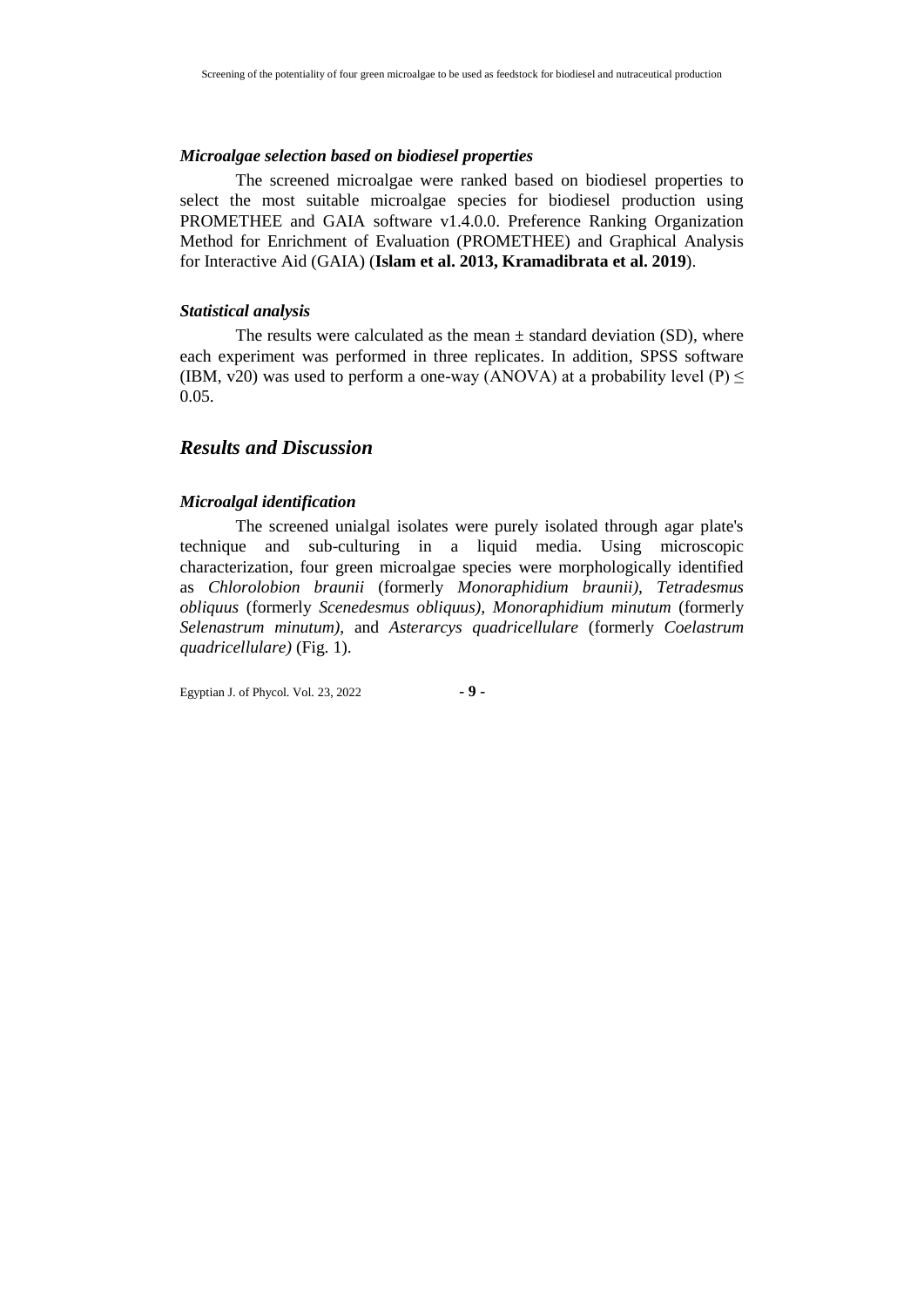#### *Microalgae selection based on biodiesel properties*

The screened microalgae were ranked based on biodiesel properties to select the most suitable microalgae species for biodiesel production using PROMETHEE and GAIA software v1.4.0.0. Preference Ranking Organization Method for Enrichment of Evaluation (PROMETHEE) and Graphical Analysis for Interactive Aid (GAIA) (**Islam et al. 2013, Kramadibrata et al. 2019**).

## *Statistical analysis*

The results were calculated as the mean  $\pm$  standard deviation (SD), where each experiment was performed in three replicates. In addition, SPSS software (IBM, v20) was used to perform a one-way (ANOVA) at a probability level (P)  $\leq$ 0.05.

## *Results and Discussion*

## *Microalgal identification*

The screened unialgal isolates were purely isolated through agar plate's technique and sub-culturing in a liquid media. Using microscopic characterization, four green microalgae species were morphologically identified as *Chlorolobion braunii* (formerly *Monoraphidium braunii), Tetradesmus obliquus* (formerly *Scenedesmus obliquus), Monoraphidium minutum* (formerly *Selenastrum minutum),* and *Asterarcys quadricellulare* (formerly *Coelastrum quadricellulare)* (Fig. 1).

Egyptian J. of Phycol. Vol. 23, 2022 **- 9 -**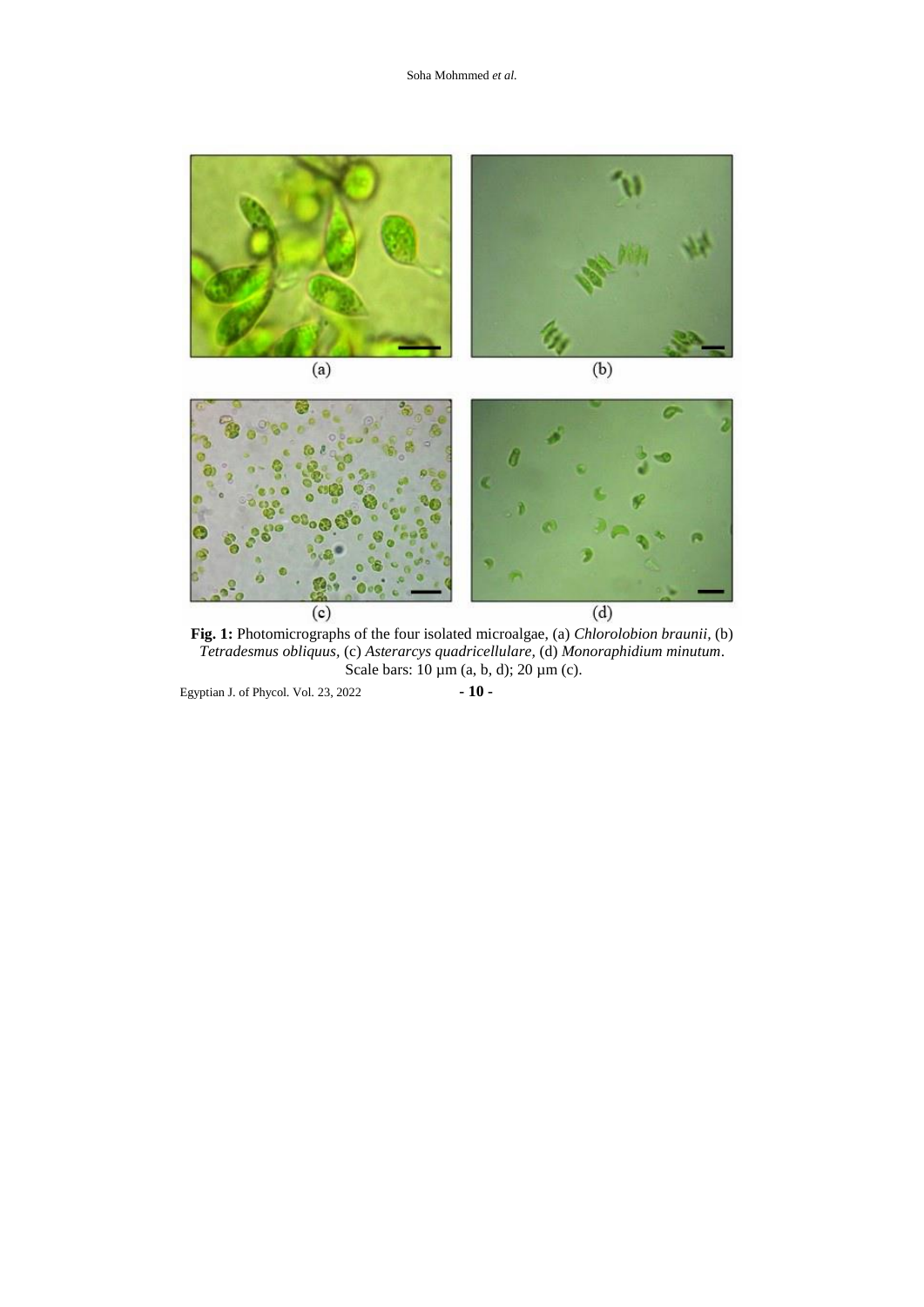

**Fig. 1:** Photomicrographs of the four isolated microalgae, (a) *Chlorolobion braunii,* (b) *Tetradesmus obliquus,* (c) *Asterarcys quadricellulare,* (d) *Monoraphidium minutum*. Scale bars:  $10 \mu m$  (a, b, d);  $20 \mu m$  (c).

Egyptian J. of Phycol. Vol. 23, 2022 **- 10 -**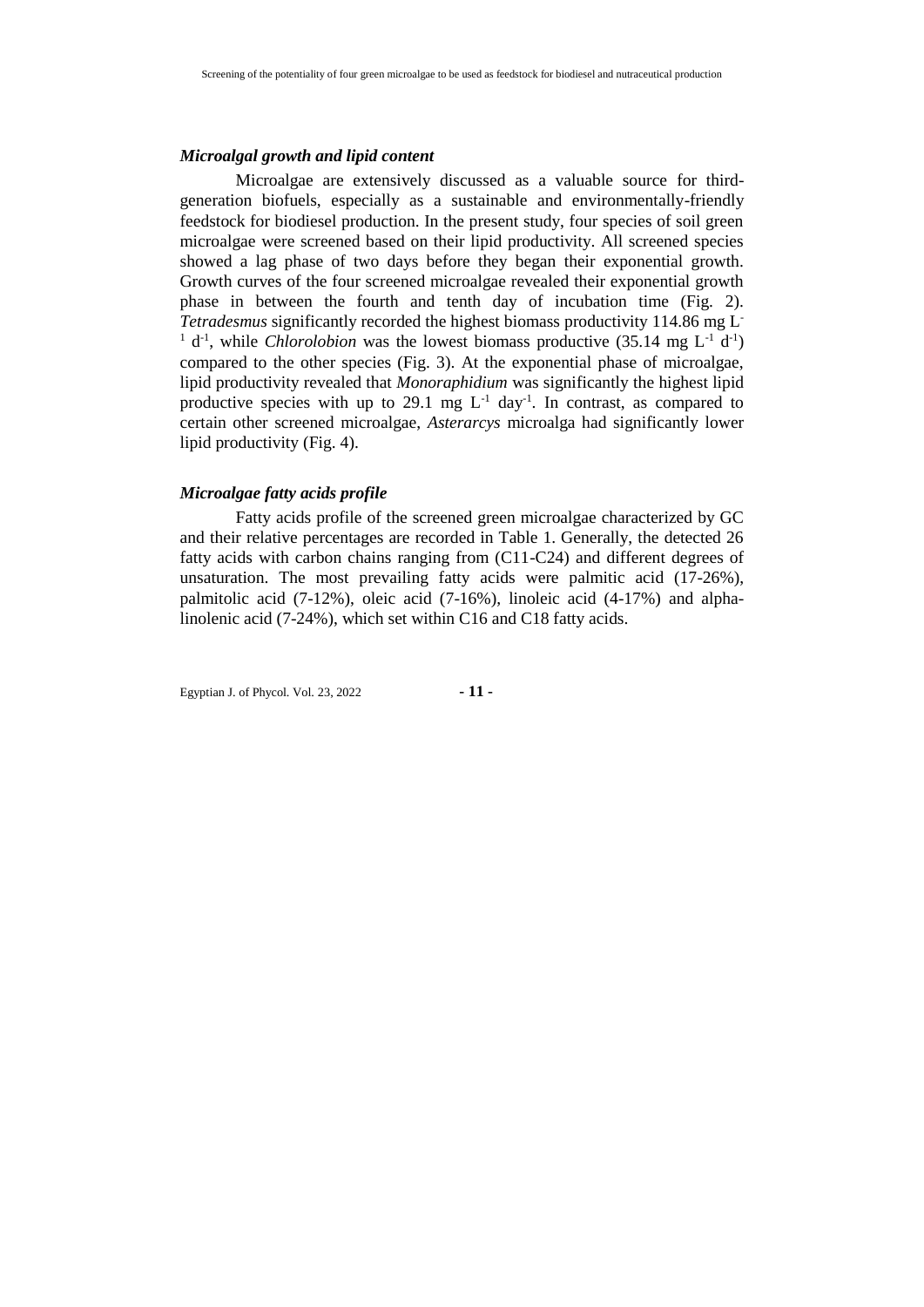#### *Microalgal growth and lipid content*

Microalgae are extensively discussed as a valuable source for thirdgeneration biofuels, especially as a sustainable and environmentally-friendly feedstock for biodiesel production. In the present study, four species of soil green microalgae were screened based on their lipid productivity. All screened species showed a lag phase of two days before they began their exponential growth. Growth curves of the four screened microalgae revealed their exponential growth phase in between the fourth and tenth day of incubation time (Fig. 2). *Tetradesmus* significantly recorded the highest biomass productivity 114.86 mg L-<sup>1</sup> d<sup>-1</sup>, while *Chlorolobion* was the lowest biomass productive (35.14 mg  $L^{-1}$  d<sup>-1</sup>) compared to the other species (Fig. 3). At the exponential phase of microalgae, lipid productivity revealed that *Monoraphidium* was significantly the highest lipid productive species with up to 29.1 mg  $L^{-1}$  day<sup>-1</sup>. In contrast, as compared to certain other screened microalgae, *Asterarcys* microalga had significantly lower lipid productivity (Fig. 4).

## *Microalgae fatty acids profile*

Fatty acids profile of the screened green microalgae characterized by GC and their relative percentages are recorded in Table 1. Generally, the detected 26 fatty acids with carbon chains ranging from (C11-C24) and different degrees of unsaturation. The most prevailing fatty acids were palmitic acid (17-26%), palmitolic acid (7-12%), oleic acid (7-16%), linoleic acid (4-17%) and alphalinolenic acid (7-24%), which set within C16 and C18 fatty acids.

Egyptian J. of Phycol. Vol. 23, 2022 **- 11 -**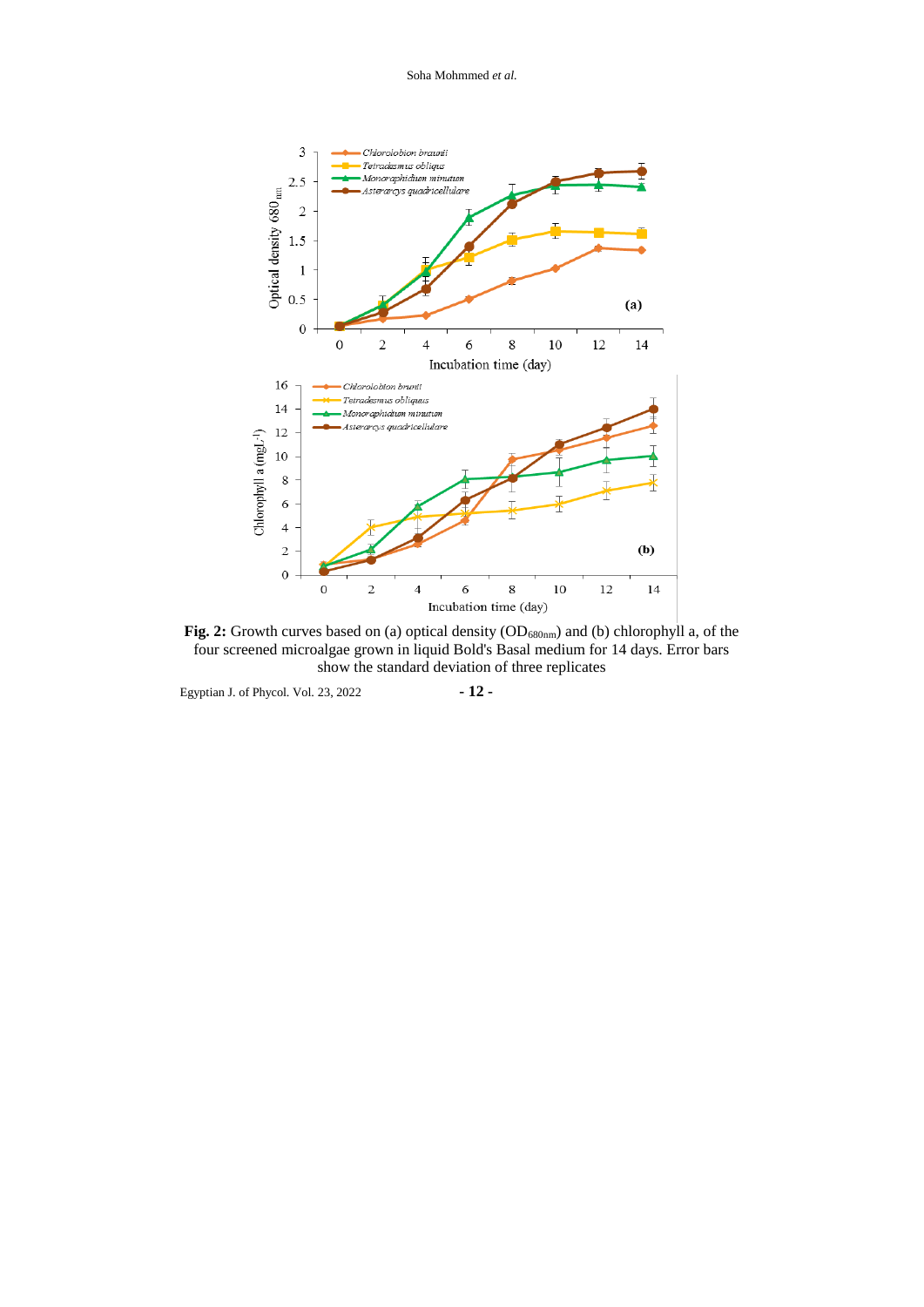Soha Mohmmed *et al.*



Fig. 2: Growth curves based on (a) optical density (OD<sub>680nm</sub>) and (b) chlorophyll a, of the four screened microalgae grown in liquid Bold's Basal medium for 14 days. Error bars show the standard deviation of three replicates

Egyptian J. of Phycol. Vol. 23, 2022 **- 12 -**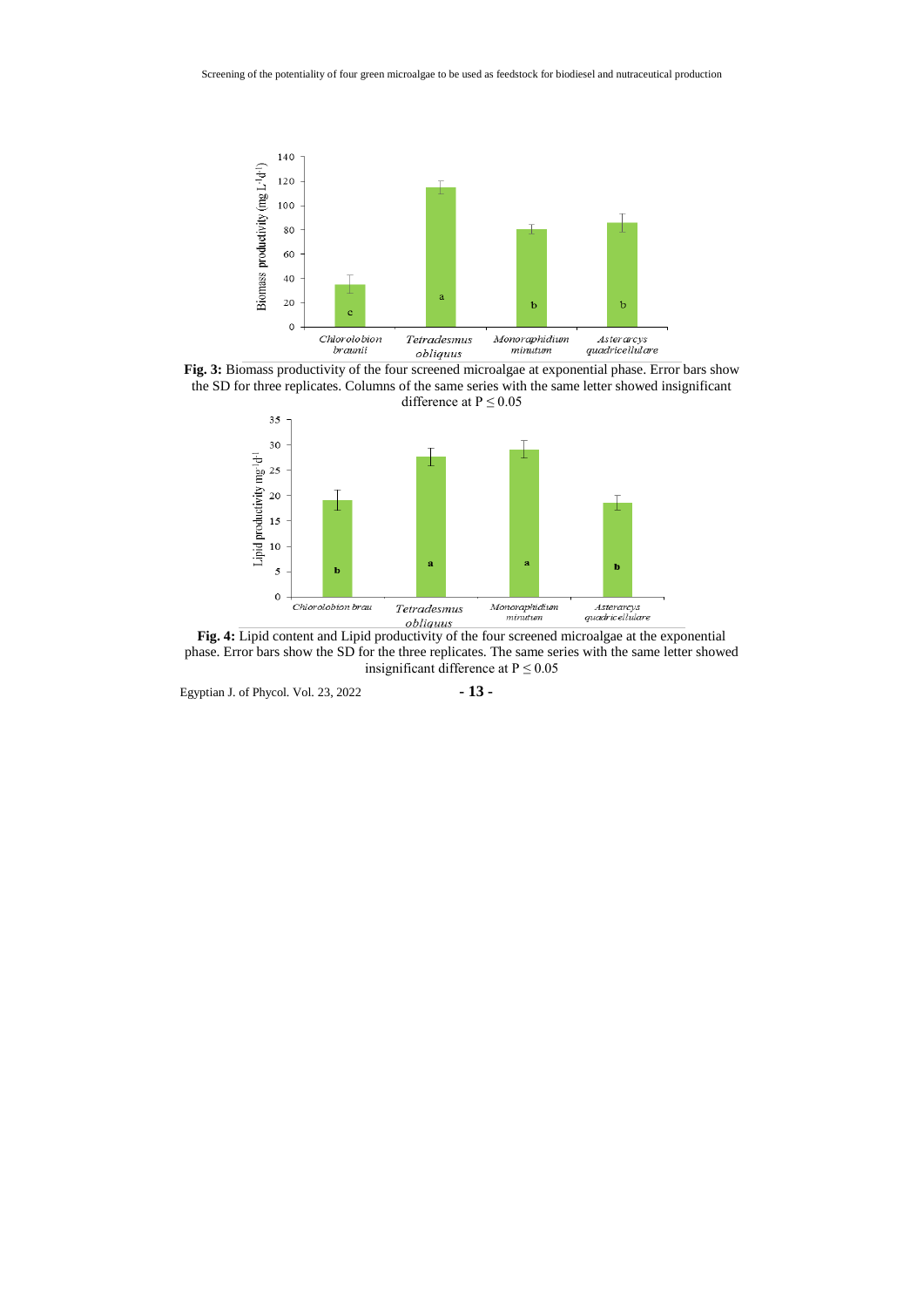

**Fig. 3:** Biomass productivity of the four screened microalgae at exponential phase. Error bars show the SD for three replicates. Columns of the same series with the same letter showed insignificant difference at  $P \le 0.05$ 



**Fig. 4:** Lipid content and Lipid productivity of the four screened microalgae at the exponential phase. Error bars show the SD for the three replicates. The same series with the same letter showed insignificant difference at  $P \le 0.05$ 

Egyptian J. of Phycol. Vol. 23, 2022 **- 13 -**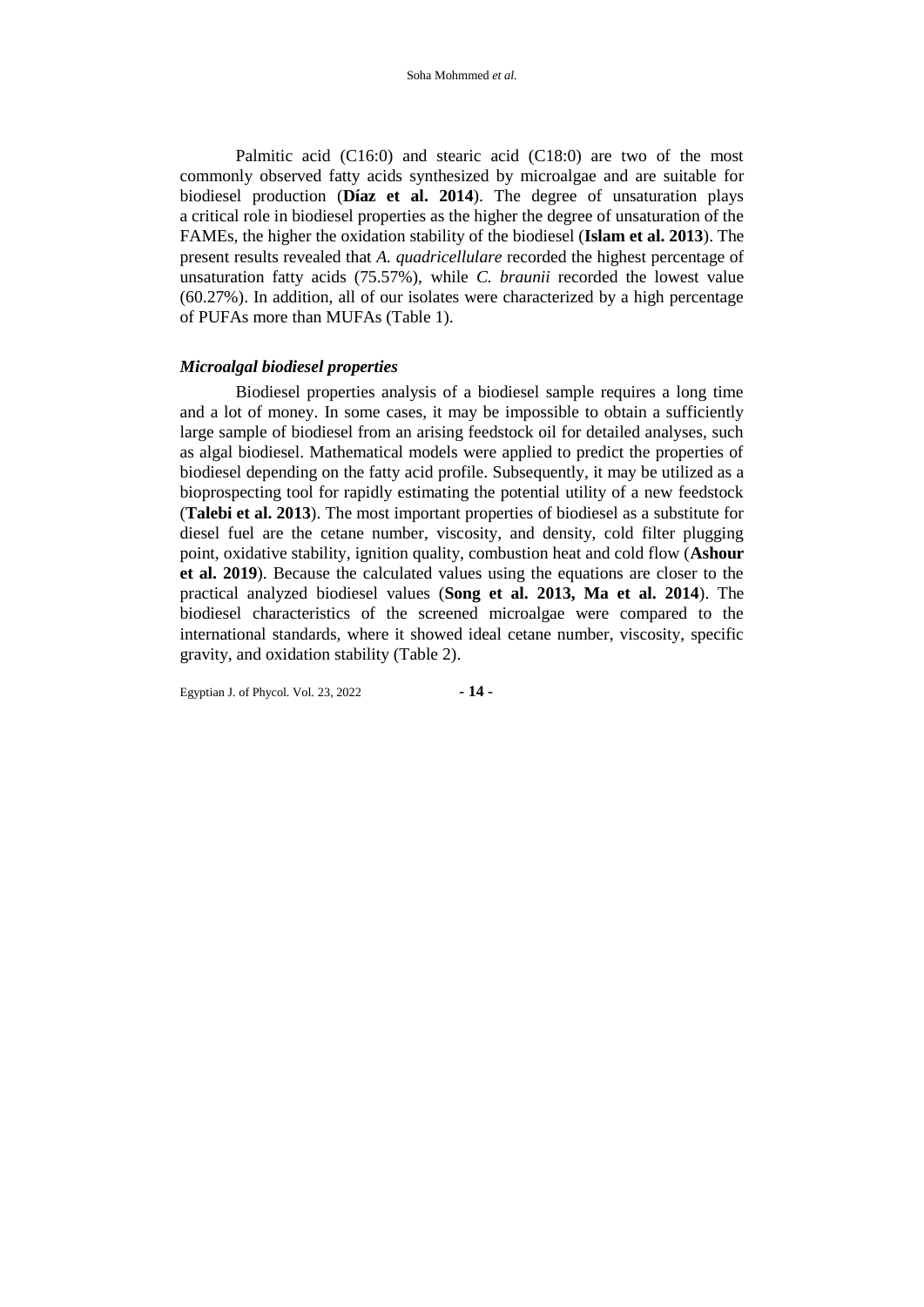Palmitic acid (C16:0) and stearic acid (C18:0) are two of the most commonly observed fatty acids synthesized by microalgae and are suitable for biodiesel production (**Díaz et al. 2014**). The degree of unsaturation plays a critical role in biodiesel properties as the higher the degree of unsaturation of the FAMEs, the higher the oxidation stability of the biodiesel (**Islam et al. 2013**). The present results revealed that *A. quadricellulare* recorded the highest percentage of unsaturation fatty acids (75.57%), while *C. braunii* recorded the lowest value (60.27%). In addition, all of our isolates were characterized by a high percentage of PUFAs more than MUFAs (Table 1).

## *Microalgal biodiesel properties*

Biodiesel properties analysis of a biodiesel sample requires a long time and a lot of money. In some cases, it may be impossible to obtain a sufficiently large sample of biodiesel from an arising feedstock oil for detailed analyses, such as algal biodiesel. Mathematical models were applied to predict the properties of biodiesel depending on the fatty acid profile. Subsequently, it may be utilized as a bioprospecting tool for rapidly estimating the potential utility of a new feedstock (**Talebi et al. 2013**). The most important properties of biodiesel as a substitute for diesel fuel are the cetane number, viscosity, and density, cold filter plugging point, oxidative stability, ignition quality, combustion heat and cold flow (**Ashour et al. 2019**). Because the calculated values using the equations are closer to the practical analyzed biodiesel values (**Song et al. 2013, Ma et al. 2014**). The biodiesel characteristics of the screened microalgae were compared to the international standards, where it showed ideal cetane number, viscosity, specific gravity, and oxidation stability (Table 2).

Egyptian J. of Phycol. Vol. 23, 2022 **- 14 -**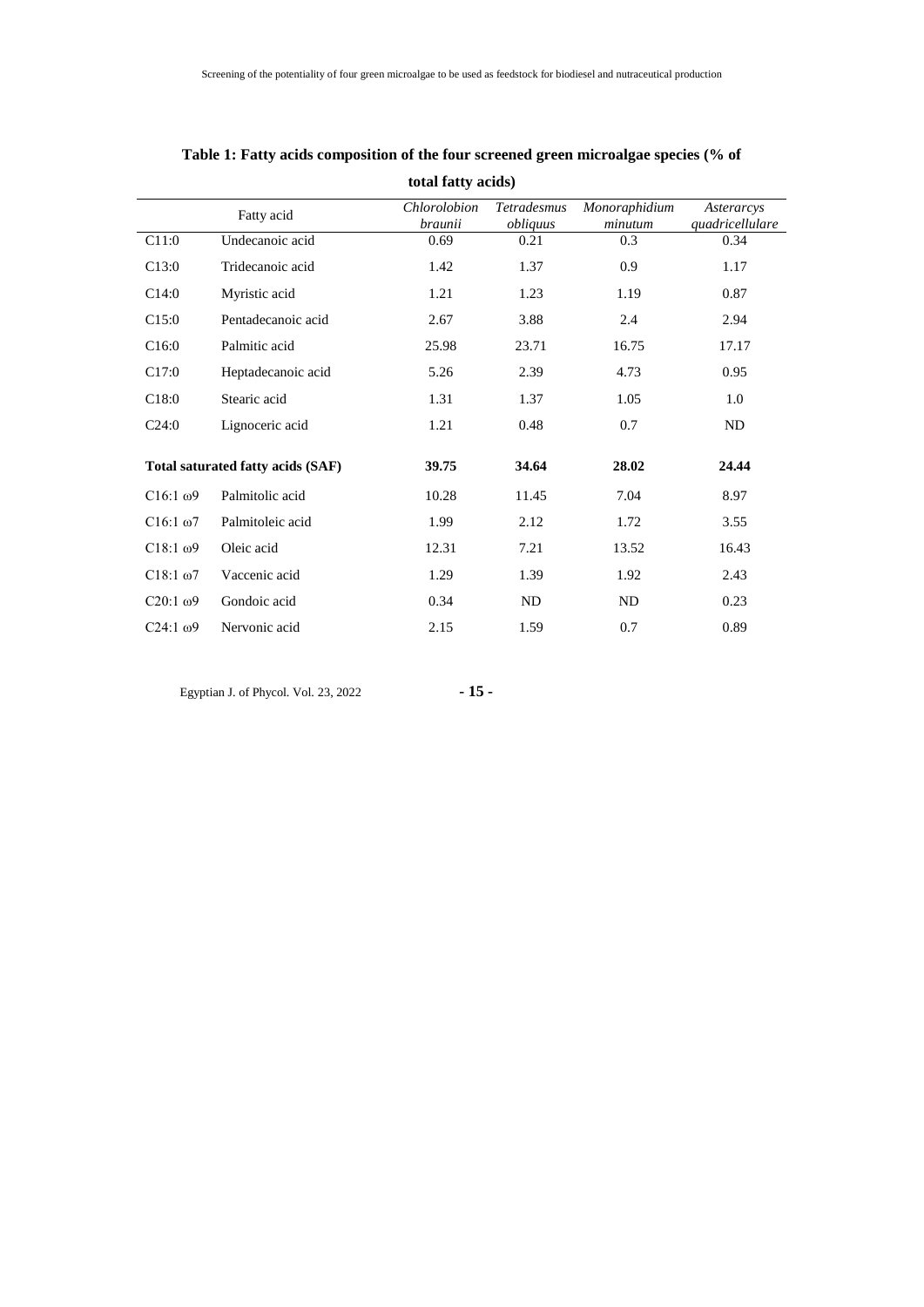| total fatty acids) |                                   |                         |                                |                          |                               |  |  |
|--------------------|-----------------------------------|-------------------------|--------------------------------|--------------------------|-------------------------------|--|--|
|                    | Fatty acid                        | Chlorolobion<br>braunii | <b>Tetradesmus</b><br>obliquus | Monoraphidium<br>minutum | Asterarcys<br>quadricellulare |  |  |
| C11:0              | Undecanoic acid                   | 0.69                    | 0.21                           | 0.3                      | 0.34                          |  |  |
| C13:0              | Tridecanoic acid                  | 1.42                    | 1.37                           | 0.9                      | 1.17                          |  |  |
| C14:0              | Myristic acid                     | 1.21                    | 1.23                           | 1.19                     | 0.87                          |  |  |
| C15:0              | Pentadecanoic acid                | 2.67                    | 3.88                           | 2.4                      | 2.94                          |  |  |
| C16:0              | Palmitic acid                     | 25.98                   | 23.71                          | 16.75                    | 17.17                         |  |  |
| C17:0              | Heptadecanoic acid                | 5.26                    | 2.39                           | 4.73                     | 0.95                          |  |  |
| C18:0              | Stearic acid                      | 1.31                    | 1.37                           | 1.05                     | 1.0                           |  |  |
| C24:0              | Lignoceric acid                   | 1.21                    | 0.48                           | 0.7                      | ND                            |  |  |
|                    | Total saturated fatty acids (SAF) | 39.75                   | 34.64                          | 28.02                    | 24.44                         |  |  |
| $C16:1 \omega$ 9   | Palmitolic acid                   | 10.28                   | 11.45                          | 7.04                     | 8.97                          |  |  |
| $C16:1\omega$      | Palmitoleic acid                  | 1.99                    | 2.12                           | 1.72                     | 3.55                          |  |  |
| $C18:1\omega9$     | Oleic acid                        | 12.31                   | 7.21                           | 13.52                    | 16.43                         |  |  |
| $C18:1\omega$      | Vaccenic acid                     | 1.29                    | 1.39                           | 1.92                     | 2.43                          |  |  |
| $C20:1\omega$      | Gondoic acid                      | 0.34                    | ND.                            | ND                       | 0.23                          |  |  |
| $C24:1 \omega$ 9   | Nervonic acid                     | 2.15                    | 1.59                           | 0.7                      | 0.89                          |  |  |

| Table 1: Fatty acids composition of the four screened green microalgae species (% of |  |
|--------------------------------------------------------------------------------------|--|

Egyptian J. of Phycol. Vol. 23, 2022 **- 15 -**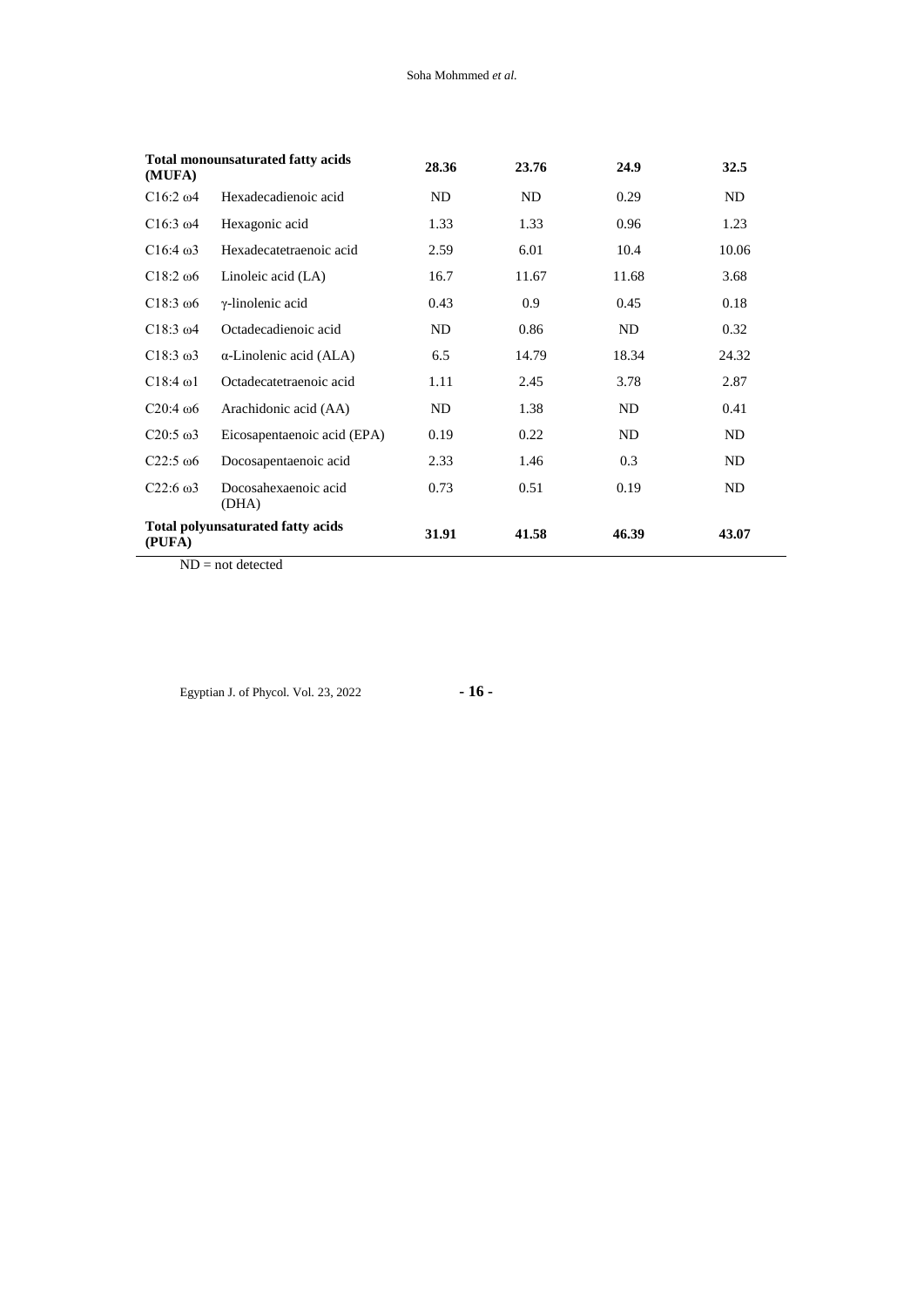| (MUFA)           | <b>Total monounsaturated fatty acids</b> | 28.36 | 23.76 | 24.9  | 32.5  |
|------------------|------------------------------------------|-------|-------|-------|-------|
| $C16:2\omega4$   | Hexadecadienoic acid                     | ND.   | ND    | 0.29  | ND    |
| $C16:3 \omega4$  | Hexagonic acid                           | 1.33  | 1.33  | 0.96  | 1.23  |
| $C16:4\omega$    | Hexadecatetraenoic acid                  | 2.59  | 6.01  | 10.4  | 10.06 |
| $C18:2\omega$    | Linoleic acid (LA)                       | 16.7  | 11.67 | 11.68 | 3.68  |
| $C18:3\omega$    | $\gamma$ -linolenic acid                 | 0.43  | 0.9   | 0.45  | 0.18  |
| $C18:3 \omega4$  | Octadecadienoic acid                     | ND.   | 0.86  | ND    | 0.32  |
| $C18:3 \omega3$  | $\alpha$ -Linolenic acid (ALA)           | 6.5   | 14.79 | 18.34 | 24.32 |
| $C18:4 \omega1$  | Octadecatetraenoic acid                  | 1.11  | 2.45  | 3.78  | 2.87  |
| $C20:4\omega$    | Arachidonic acid (AA)                    | ND    | 1.38  | ND    | 0.41  |
| $C20:5 \omega3$  | Eicosapentaenoic acid (EPA)              | 0.19  | 0.22  | ND    | ND    |
| $C22:5 \omega 6$ | Docosapentaenoic acid                    | 2.33  | 1.46  | 0.3   | ND    |
| $C22:6 \omega3$  | Docosahexaenoic acid<br>(DHA)            | 0.73  | 0.51  | 0.19  | ND    |
| (PUFA)           | <b>Total polyunsaturated fatty acids</b> | 31.91 | 41.58 | 46.39 | 43.07 |

ND = not detected

Egyptian J. of Phycol. Vol. 23, 2022 **- 16 -**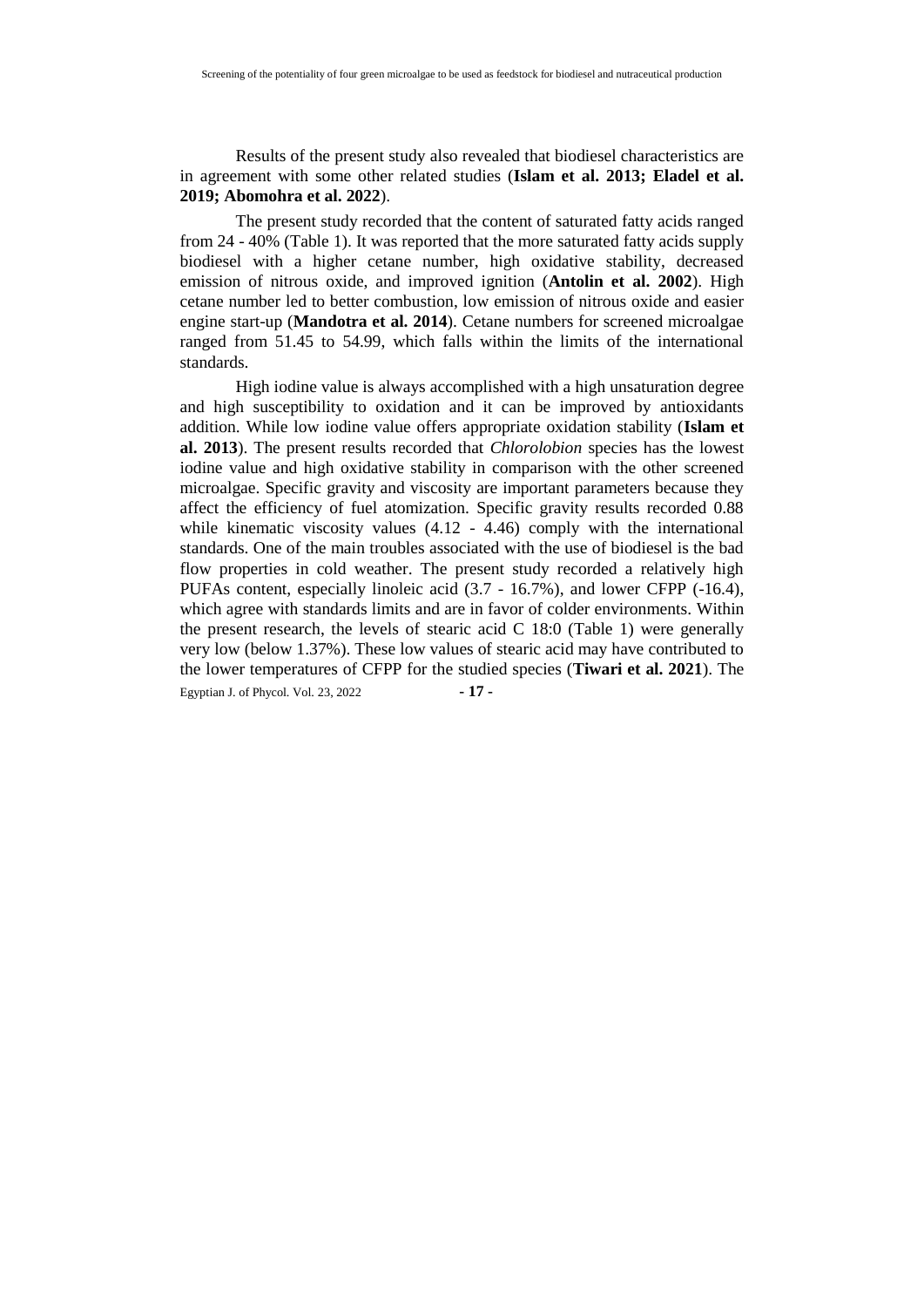Results of the present study also revealed that biodiesel characteristics are in agreement with some other related studies (**Islam et al. 2013; Eladel et al. 2019; Abomohra et al. 2022**).

The present study recorded that the content of saturated fatty acids ranged from 24 - 40% (Table 1). It was reported that the more saturated fatty acids supply biodiesel with a higher cetane number, high oxidative stability, decreased emission of nitrous oxide, and improved ignition (**Antolin et al. 2002**). High cetane number led to better combustion, low emission of nitrous oxide and easier engine start-up (**Mandotra et al. 2014**). Cetane numbers for screened microalgae ranged from 51.45 to 54.99, which falls within the limits of the international standards.

Egyptian J. of Phycol. Vol. 23, 2022 **- 17 -** High iodine value is always accomplished with a high unsaturation degree and high susceptibility to oxidation and it can be improved by antioxidants addition. While low iodine value offers appropriate oxidation stability (**Islam et al. 2013**). The present results recorded that *Chlorolobion* species has the lowest iodine value and high oxidative stability in comparison with the other screened microalgae. Specific gravity and viscosity are important parameters because they affect the efficiency of fuel atomization. Specific gravity results recorded 0.88 while kinematic viscosity values  $(4.12 - 4.46)$  comply with the international standards. One of the main troubles associated with the use of biodiesel is the bad flow properties in cold weather. The present study recorded a relatively high PUFAs content, especially linoleic acid (3.7 - 16.7%), and lower CFPP (-16.4), which agree with standards limits and are in favor of colder environments. Within the present research, the levels of stearic acid C 18:0 (Table 1) were generally very low (below 1.37%). These low values of stearic acid may have contributed to the lower temperatures of CFPP for the studied species (**Tiwari et al. 2021**). The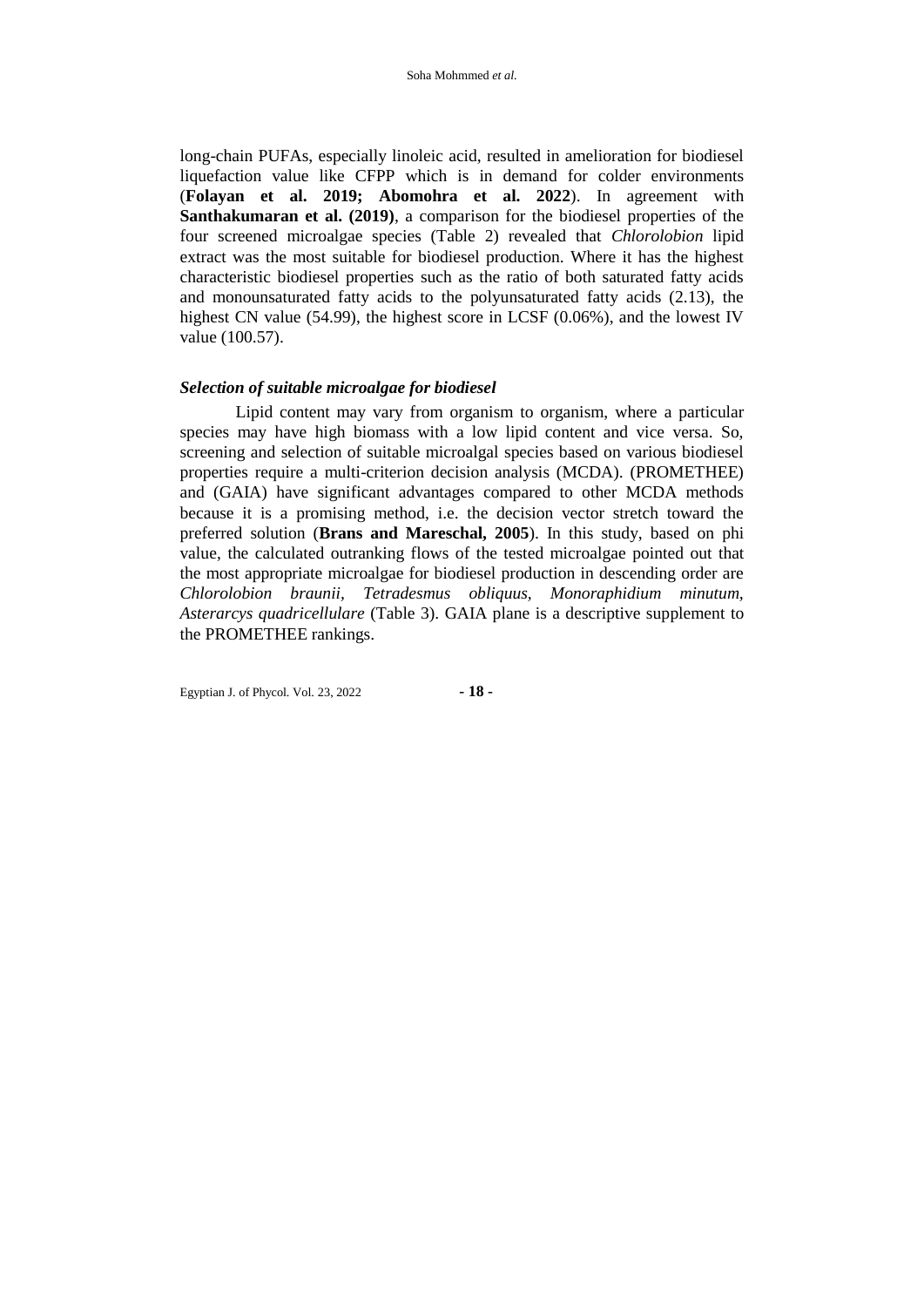long-chain PUFAs, especially linoleic acid, resulted in amelioration for biodiesel liquefaction value like CFPP which is in demand for colder environments (**Folayan et al. 2019; Abomohra et al. 2022**). In agreement with **Santhakumaran et al. (2019)**, a comparison for the biodiesel properties of the four screened microalgae species (Table 2) revealed that *Chlorolobion* lipid extract was the most suitable for biodiesel production. Where it has the highest characteristic biodiesel properties such as the ratio of both saturated fatty acids and monounsaturated fatty acids to the polyunsaturated fatty acids (2.13), the highest CN value (54.99), the highest score in LCSF (0.06%), and the lowest IV value (100.57).

#### *Selection of suitable microalgae for biodiesel*

Lipid content may vary from organism to organism, where a particular species may have high biomass with a low lipid content and vice versa. So, screening and selection of suitable microalgal species based on various biodiesel properties require a multi-criterion decision analysis (MCDA). (PROMETHEE) and (GAIA) have significant advantages compared to other MCDA methods because it is a promising method, i.e. the decision vector stretch toward the preferred solution (**Brans and Mareschal, 2005**). In this study, based on phi value, the calculated outranking flows of the tested microalgae pointed out that the most appropriate microalgae for biodiesel production in descending order are *Chlorolobion braunii, Tetradesmus obliquus, Monoraphidium minutum, Asterarcys quadricellulare* (Table 3). GAIA plane is a descriptive supplement to the PROMETHEE rankings.

Egyptian J. of Phycol. Vol. 23, 2022 **- 18 -**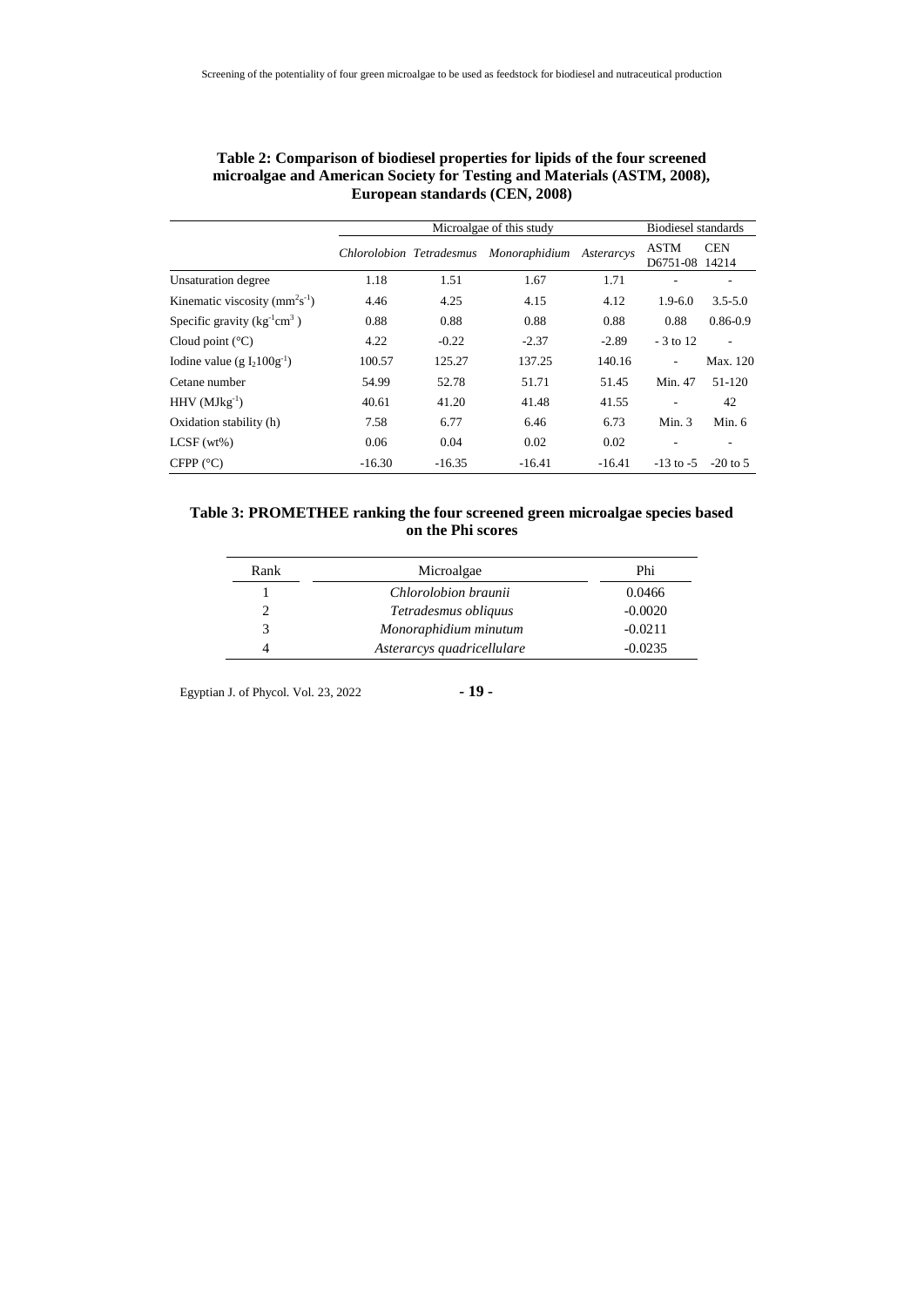|                                  |                          | <b>Biodiesel standards</b> |               |            |                               |                          |
|----------------------------------|--------------------------|----------------------------|---------------|------------|-------------------------------|--------------------------|
|                                  | Chlorolobion Tetradesmus |                            | Monoraphidium | Asterarcys | <b>ASTM</b><br>D6751-08 14214 | <b>CEN</b>               |
| Unsaturation degree              | 1.18                     | 1.51                       | 1.67          | 1.71       |                               |                          |
| Kinematic viscosity ( $mm2s-1$ ) | 4.46                     | 4.25                       | 4.15          | 4.12       | $1.9 - 6.0$                   | $3.5 - 5.0$              |
| Specific gravity $(kg^{-1}cm^3)$ | 0.88                     | 0.88                       | 0.88          | 0.88       | 0.88                          | $0.86 - 0.9$             |
| Cloud point $(^{\circ}C)$        | 4.22                     | $-0.22$                    | $-2.37$       | $-2.89$    | $-3$ to 12                    | $\overline{\phantom{a}}$ |
| Iodine value (g $I_2100g^{-1}$ ) | 100.57                   | 125.27                     | 137.25        | 140.16     | $\overline{\phantom{a}}$      | Max. 120                 |
| Cetane number                    | 54.99                    | 52.78                      | 51.71         | 51.45      | Min. 47                       | 51-120                   |
| $HHV$ (MJkg <sup>-1</sup> )      | 40.61                    | 41.20                      | 41.48         | 41.55      | $\overline{a}$                | 42                       |
| Oxidation stability (h)          | 7.58                     | 6.77                       | 6.46          | 6.73       | Min. $3$                      | Min. $6$                 |
| $LCSF (wt\%)$                    | 0.06                     | 0.04                       | 0.02          | 0.02       |                               |                          |
| CFPP (°C)                        | $-16.30$                 | $-16.35$                   | $-16.41$      | $-16.41$   | $-13$ to $-5$                 | $-20$ to 5               |

| Table 2: Comparison of biodiesel properties for lipids of the four screened |  |
|-----------------------------------------------------------------------------|--|
| microalgae and American Society for Testing and Materials (ASTM, 2008),     |  |
| European standards (CEN, 2008)                                              |  |

## **Table 3: PROMETHEE ranking the four screened green microalgae species based on the Phi scores**

| Rank | Microalgae                 | Phi       |
|------|----------------------------|-----------|
|      | Chlorolobion braunii       | 0.0466    |
|      | Tetradesmus obliquus       | $-0.0020$ |
|      | Monoraphidium minutum      | $-0.0211$ |
|      | Asterarcys quadricellulare | $-0.0235$ |

Egyptian J. of Phycol. Vol. 23, 2022 **- 19 -**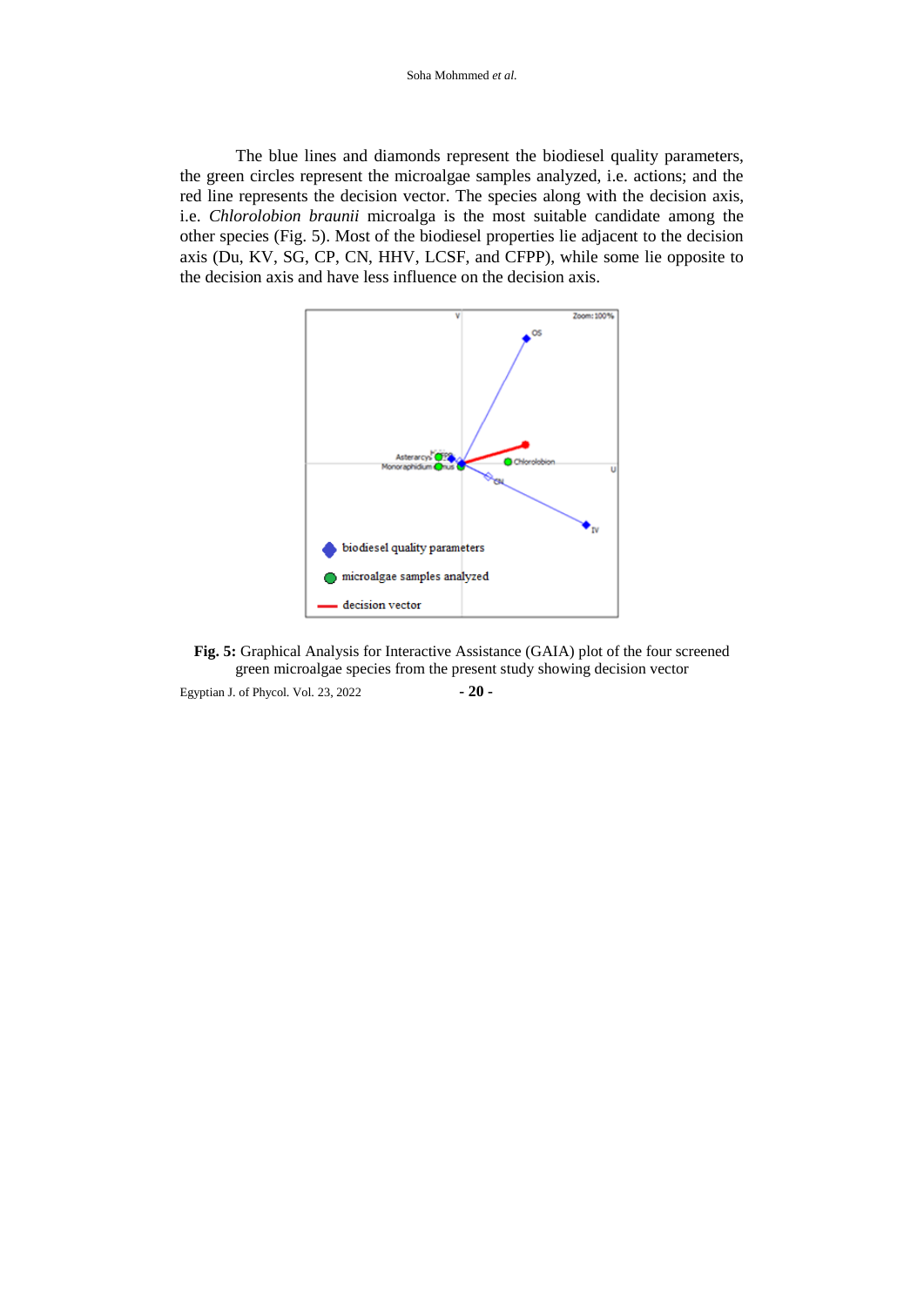The blue lines and diamonds represent the biodiesel quality parameters, the green circles represent the microalgae samples analyzed, i.e. actions; and the red line represents the decision vector. The species along with the decision axis, i.e. *Chlorolobion braunii* microalga is the most suitable candidate among the other species (Fig. 5). Most of the biodiesel properties lie adjacent to the decision axis (Du, KV, SG, CP, CN, HHV, LCSF, and CFPP), while some lie opposite to the decision axis and have less influence on the decision axis.





Egyptian J. of Phycol. Vol. 23, 2022 **- 20 -**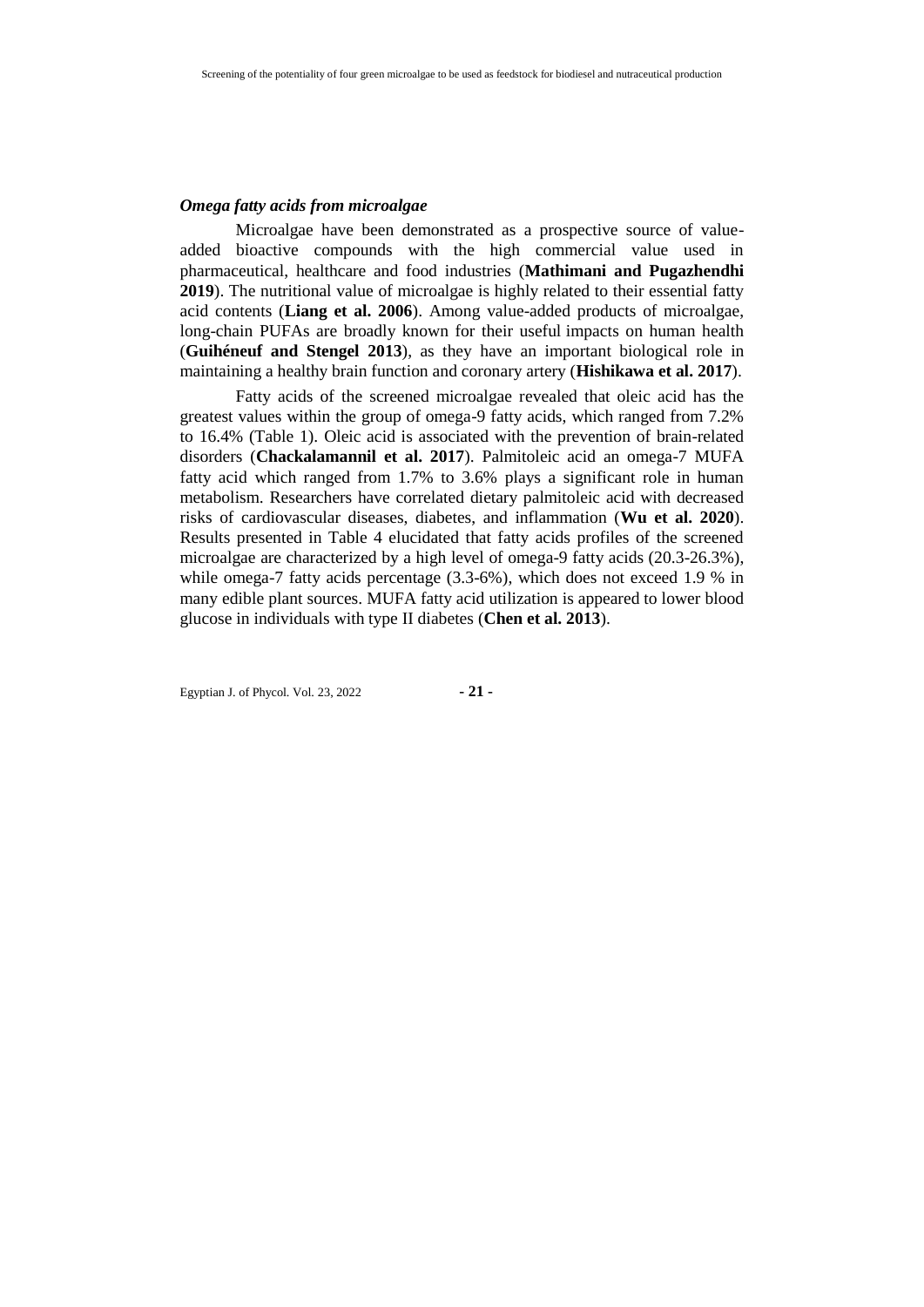## *Omega fatty acids from microalgae*

Microalgae have been demonstrated as a prospective source of valueadded bioactive compounds with the high commercial value used in pharmaceutical, healthcare and food industries (**Mathimani and Pugazhendhi 2019**). The nutritional value of microalgae is highly related to their essential fatty acid contents (**Liang et al. 2006**). Among value-added products of microalgae, long-chain PUFAs are broadly known for their useful impacts on human health (**Guihéneuf and Stengel 2013**), as they have an important biological role in maintaining a healthy brain function and coronary artery (**Hishikawa et al. 2017**).

Fatty acids of the screened microalgae revealed that oleic acid has the greatest values within the group of omega-9 fatty acids, which ranged from 7.2% to 16.4% (Table 1). Oleic acid is associated with the prevention of brain-related disorders (**Chackalamannil et al. 2017**). Palmitoleic acid an omega-7 MUFA fatty acid which ranged from 1.7% to 3.6% plays a significant role in human metabolism. Researchers have correlated dietary palmitoleic acid with decreased risks of cardiovascular diseases, diabetes, and inflammation (**Wu et al. 2020**). Results presented in Table 4 elucidated that fatty acids profiles of the screened microalgae are characterized by a high level of omega-9 fatty acids (20.3-26.3%), while omega-7 fatty acids percentage (3.3-6%), which does not exceed 1.9 % in many edible plant sources. MUFA fatty acid utilization is appeared to lower blood glucose in individuals with type II diabetes (**Chen et al. 2013**).

Egyptian J. of Phycol. Vol. 23, 2022 **- 21 -**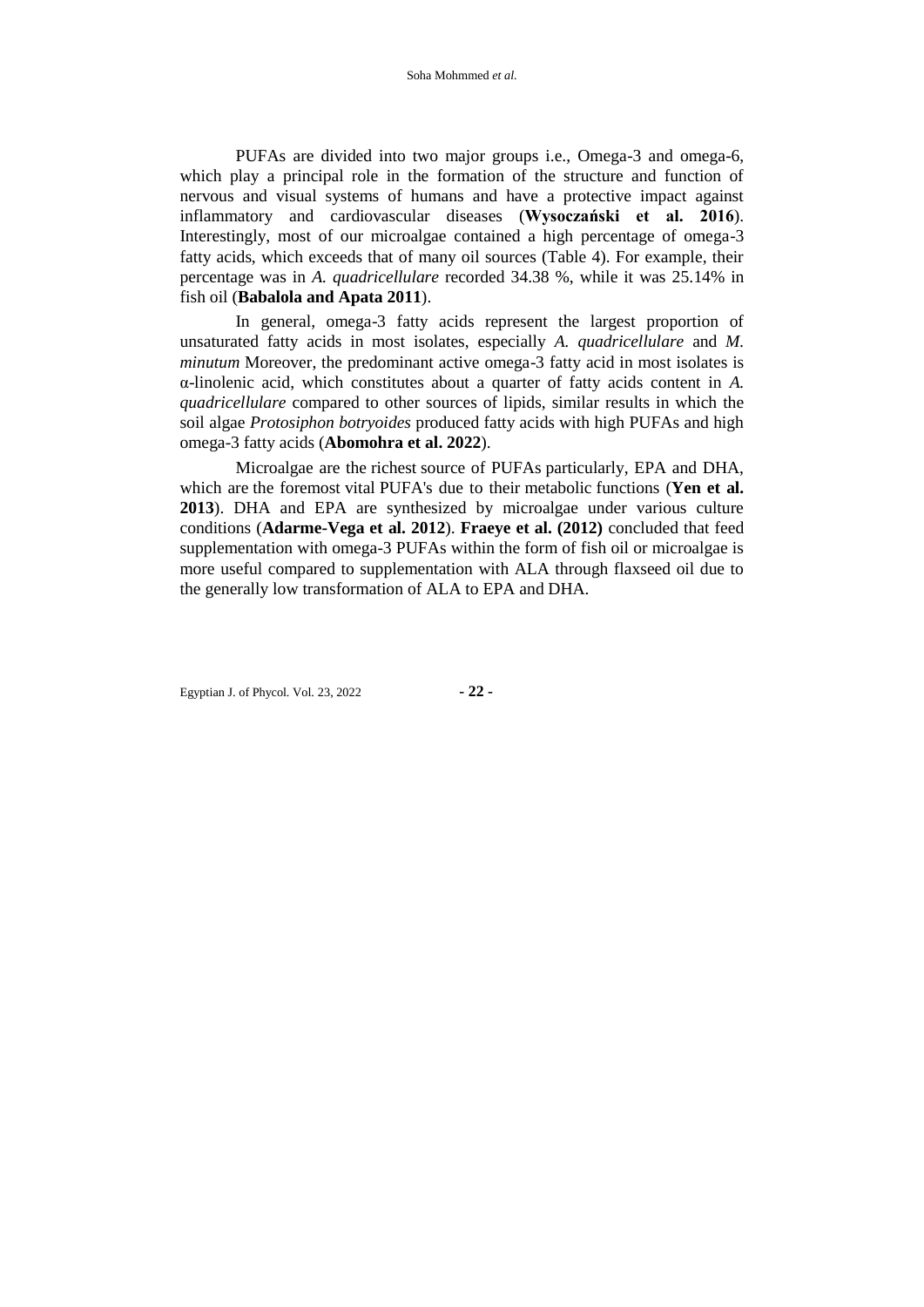PUFAs are divided into two major groups i.e., Omega-3 and omega-6, which play a principal role in the formation of the structure and function of nervous and visual systems of humans and have a protective impact against inflammatory and cardiovascular diseases (**Wysoczański et al. 2016**). Interestingly, most of our microalgae contained a high percentage of omega-3 fatty acids, which exceeds that of many oil sources (Table 4). For example, their percentage was in *A. quadricellulare* recorded 34.38 %, while it was 25.14% in fish oil (**Babalola and Apata 2011**).

In general, omega-3 fatty acids represent the largest proportion of unsaturated fatty acids in most isolates, especially *A. quadricellulare* and *M. minutum* Moreover, the predominant active omega-3 fatty acid in most isolates is α-linolenic acid, which constitutes about a quarter of fatty acids content in *A. quadricellulare* compared to other sources of lipids, similar results in which the soil algae *Protosiphon botryoides* produced fatty acids with high PUFAs and high omega-3 fatty acids (**Abomohra et al. 2022**).

Microalgae are the richest source of PUFAs particularly, EPA and DHA, which are the foremost vital PUFA's due to their metabolic functions (**Yen et al. 2013**). DHA and EPA are synthesized by microalgae under various culture conditions (**Adarme-Vega et al. 2012**). **Fraeye et al. (2012)** concluded that feed supplementation with omega-3 PUFAs within the form of fish oil or microalgae is more useful compared to supplementation with ALA through flaxseed oil due to the generally low transformation of ALA to EPA and DHA.

Egyptian J. of Phycol. Vol. 23, 2022 **- 22 -**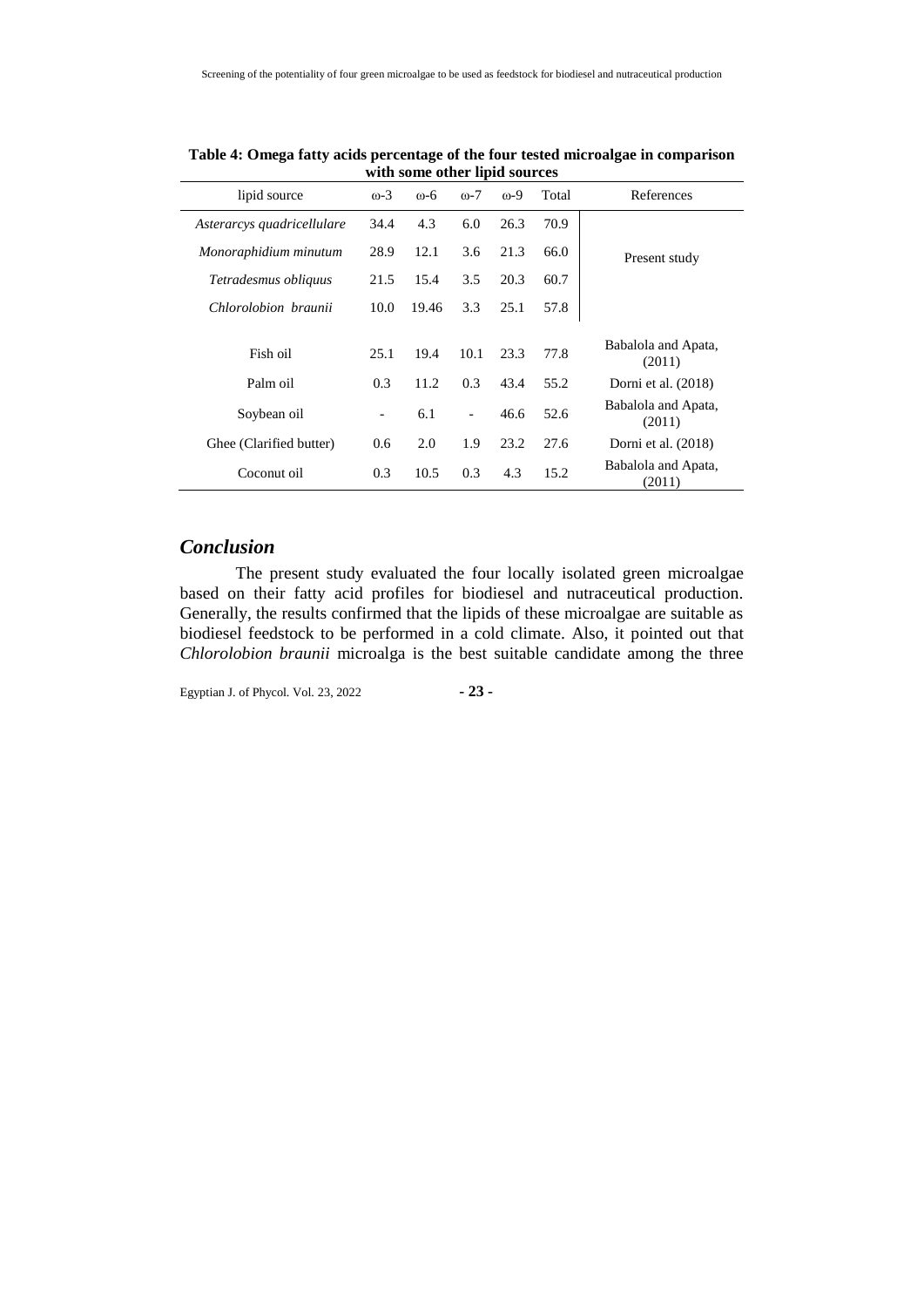| lipid source               | $\omega$ -3              | $0-6$ | $0-7$                    | $0-9$ | Total | References                    |
|----------------------------|--------------------------|-------|--------------------------|-------|-------|-------------------------------|
| Asterarcys quadricellulare | 34.4                     | 4.3   | 6.0                      | 26.3  | 70.9  |                               |
| Monoraphidium minutum      | 28.9                     | 12.1  | 3.6                      | 21.3  | 66.0  | Present study                 |
| Tetradesmus obliquus       | 21.5                     | 15.4  | 3.5                      | 20.3  | 60.7  |                               |
| Chlorolobion braunii       | 10.0                     | 19.46 | 3.3                      | 25.1  | 57.8  |                               |
| Fish oil                   | 25.1                     | 19.4  | 10.1                     | 23.3  | 77.8  | Babalola and Apata,<br>(2011) |
| Palm oil                   | 0.3                      | 11.2  | 0.3                      | 43.4  | 55.2  | Dorni et al. (2018)           |
| Soybean oil                | $\overline{\phantom{a}}$ | 6.1   | $\overline{\phantom{a}}$ | 46.6  | 52.6  | Babalola and Apata,<br>(2011) |
| Ghee (Clarified butter)    | 0.6                      | 2.0   | 1.9                      | 23.2  | 27.6  | Dorni et al. (2018)           |
| Coconut oil                | 0.3                      | 10.5  | 0.3                      | 4.3   | 15.2  | Babalola and Apata,<br>(2011) |

**Table 4: Omega fatty acids percentage of the four tested microalgae in comparison with some other lipid sources**  $\overline{a}$ 

# *Conclusion*

The present study evaluated the four locally isolated green microalgae based on their fatty acid profiles for biodiesel and nutraceutical production. Generally, the results confirmed that the lipids of these microalgae are suitable as biodiesel feedstock to be performed in a cold climate. Also, it pointed out that *Chlorolobion braunii* microalga is the best suitable candidate among the three

Egyptian J. of Phycol. Vol. 23, 2022 **- 23 -**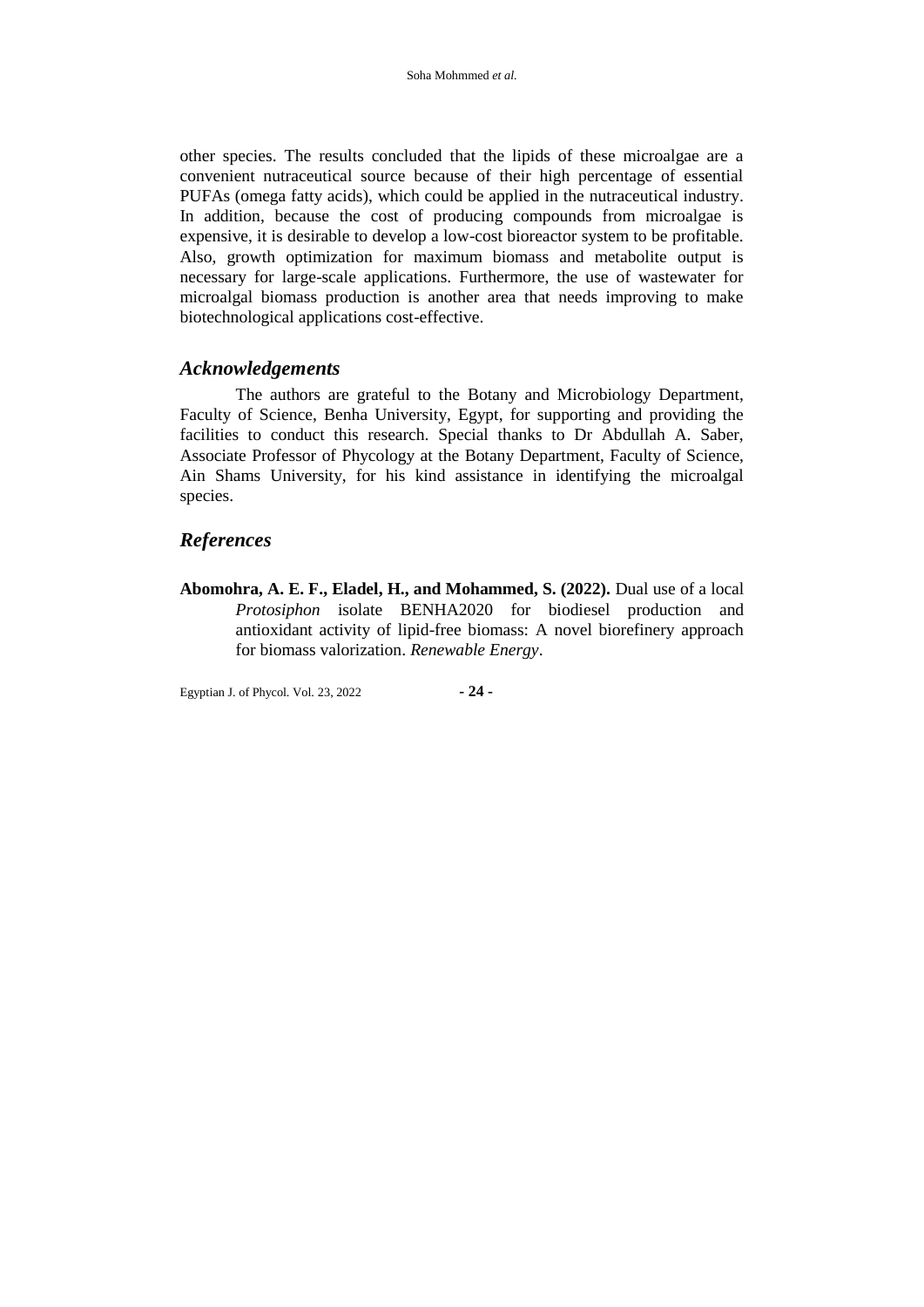other species. The results concluded that the lipids of these microalgae are a convenient nutraceutical source because of their high percentage of essential PUFAs (omega fatty acids), which could be applied in the nutraceutical industry. In addition, because the cost of producing compounds from microalgae is expensive, it is desirable to develop a low-cost bioreactor system to be profitable. Also, growth optimization for maximum biomass and metabolite output is necessary for large-scale applications. Furthermore, the use of wastewater for microalgal biomass production is another area that needs improving to make biotechnological applications cost-effective.

# *Acknowledgements*

The authors are grateful to the Botany and Microbiology Department, Faculty of Science, Benha University, Egypt, for supporting and providing the facilities to conduct this research. Special thanks to Dr Abdullah A. Saber, Associate Professor of Phycology at the Botany Department, Faculty of Science, Ain Shams University, for his kind assistance in identifying the microalgal species.

# *References*

**Abomohra, A. E. F., Eladel, H., and Mohammed, S. (2022).** Dual use of a local *Protosiphon* isolate BENHA2020 for biodiesel production and antioxidant activity of lipid-free biomass: A novel biorefinery approach for biomass valorization. *Renewable Energy*.

Egyptian J. of Phycol. Vol. 23, 2022 **- 24 -**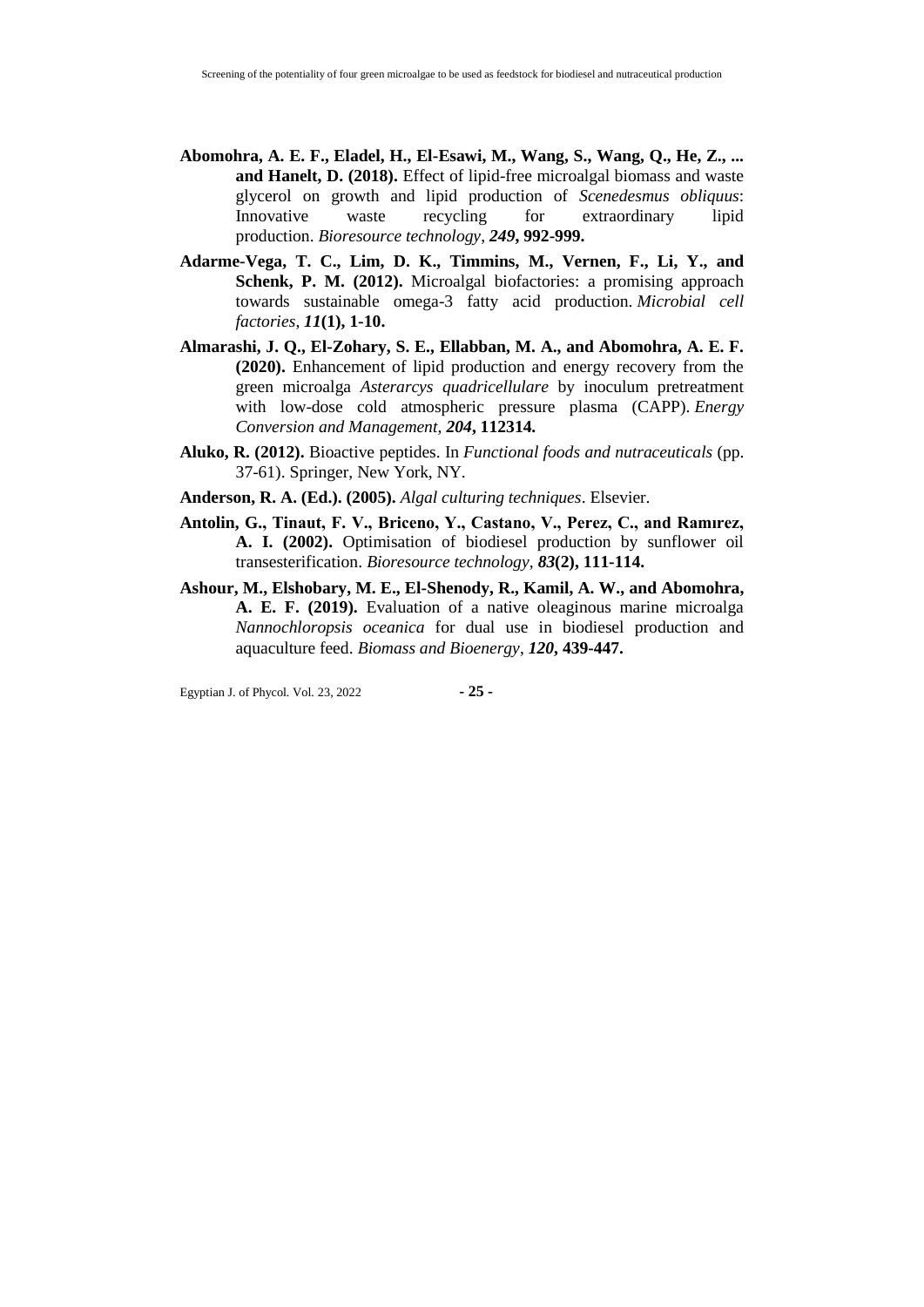- **Abomohra, A. E. F., Eladel, H., El-Esawi, M., Wang, S., Wang, Q., He, Z., ... and Hanelt, D. (2018).** Effect of lipid-free microalgal biomass and waste glycerol on growth and lipid production of *Scenedesmus obliquus*: Innovative waste recycling for extraordinary lipid production. *Bioresource technology*, *249***, 992-999.**
- **Adarme-Vega, T. C., Lim, D. K., Timmins, M., Vernen, F., Li, Y., and Schenk, P. M. (2012).** Microalgal biofactories: a promising approach towards sustainable omega-3 fatty acid production. *Microbial cell factories*, *11***(1), 1-10.**
- **Almarashi, J. Q., El-Zohary, S. E., Ellabban, M. A., and Abomohra, A. E. F. (2020).** Enhancement of lipid production and energy recovery from the green microalga *Asterarcys quadricellulare* by inoculum pretreatment with low-dose cold atmospheric pressure plasma (CAPP). *Energy Conversion and Management*, *204***, 112314.**
- **Aluko, R. (2012).** Bioactive peptides. In *Functional foods and nutraceuticals* (pp. 37-61). Springer, New York, NY.
- **Anderson, R. A. (Ed.). (2005).** *Algal culturing techniques*. Elsevier.
- **Antolin, G., Tinaut, F. V., Briceno, Y., Castano, V., Perez, C., and Ramırez, A. I. (2002).** Optimisation of biodiesel production by sunflower oil transesterification. *Bioresource technology*, *83***(2), 111-114.**
- **Ashour, M., Elshobary, M. E., El-Shenody, R., Kamil, A. W., and Abomohra, A. E. F. (2019).** Evaluation of a native oleaginous marine microalga *Nannochloropsis oceanica* for dual use in biodiesel production and aquaculture feed. *Biomass and Bioenergy*, *120***, 439-447.**

Egyptian J. of Phycol. Vol. 23, 2022 **- 25 -**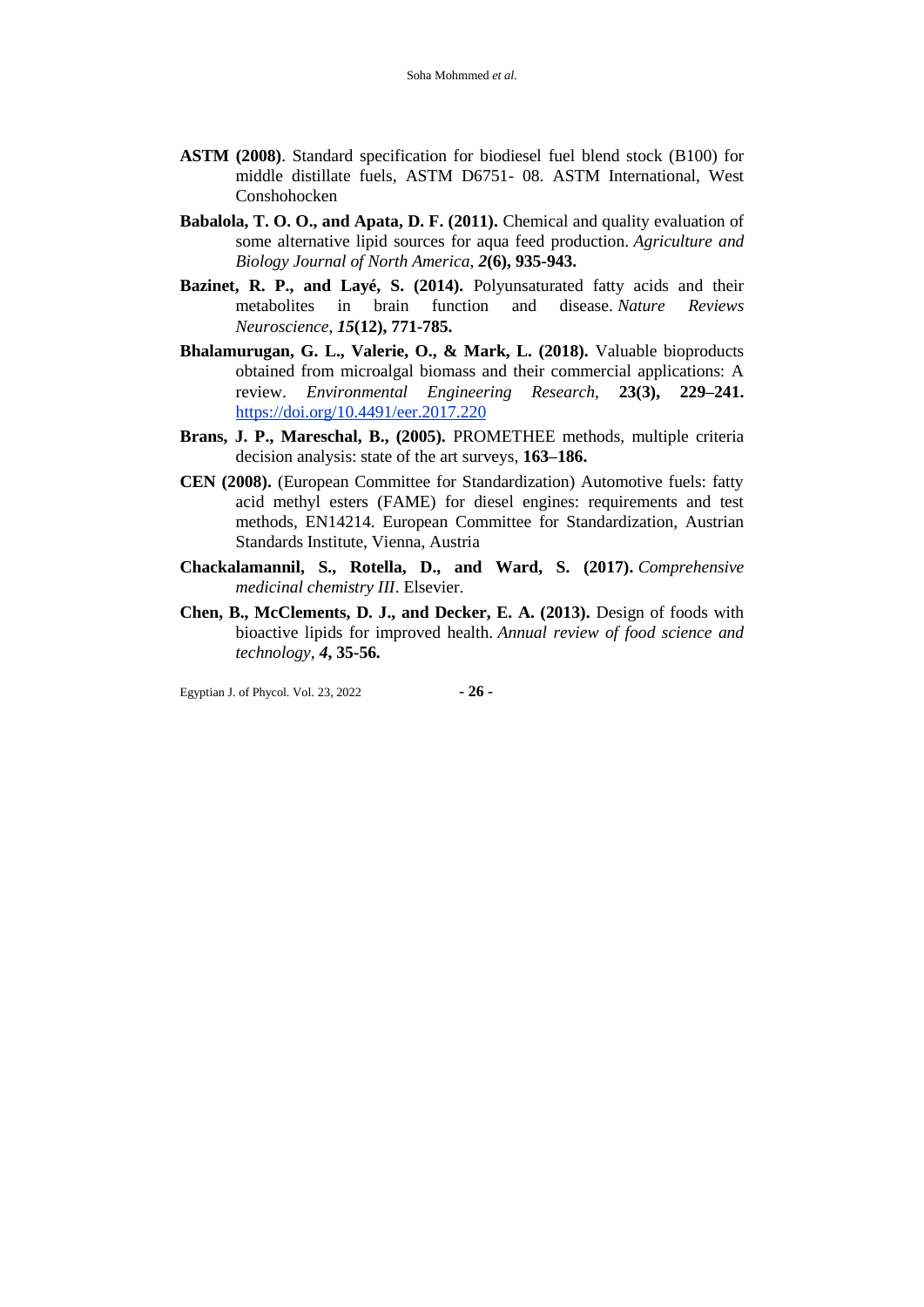- **ASTM (2008)**. Standard specification for biodiesel fuel blend stock (B100) for middle distillate fuels, ASTM D6751- 08. ASTM International, West Conshohocken
- **Babalola, T. O. O., and Apata, D. F. (2011).** Chemical and quality evaluation of some alternative lipid sources for aqua feed production. *Agriculture and Biology Journal of North America*, *2***(6), 935-943.**
- **Bazinet, R. P., and Layé, S. (2014).** Polyunsaturated fatty acids and their metabolites in brain function and disease. *Nature Reviews Neuroscience*, *15***(12), 771-785.**
- **Bhalamurugan, G. L., Valerie, O., & Mark, L. (2018).** Valuable bioproducts obtained from microalgal biomass and their commercial applications: A review. *Environmental Engineering Research*, **23(3), 229–241.** <https://doi.org/10.4491/eer.2017.220>
- **Brans, J. P., Mareschal, B., (2005).** PROMETHEE methods, multiple criteria decision analysis: state of the art surveys, **163–186.**
- **CEN (2008).** (European Committee for Standardization) Automotive fuels: fatty acid methyl esters (FAME) for diesel engines: requirements and test methods, EN14214. European Committee for Standardization, Austrian Standards Institute, Vienna, Austria
- **Chackalamannil, S., Rotella, D., and Ward, S. (2017).** *Comprehensive medicinal chemistry III*. Elsevier.
- **Chen, B., McClements, D. J., and Decker, E. A. (2013).** Design of foods with bioactive lipids for improved health. *Annual review of food science and technology*, *4***, 35-56.**

Egyptian J. of Phycol. Vol. 23, 2022 **- 26 -**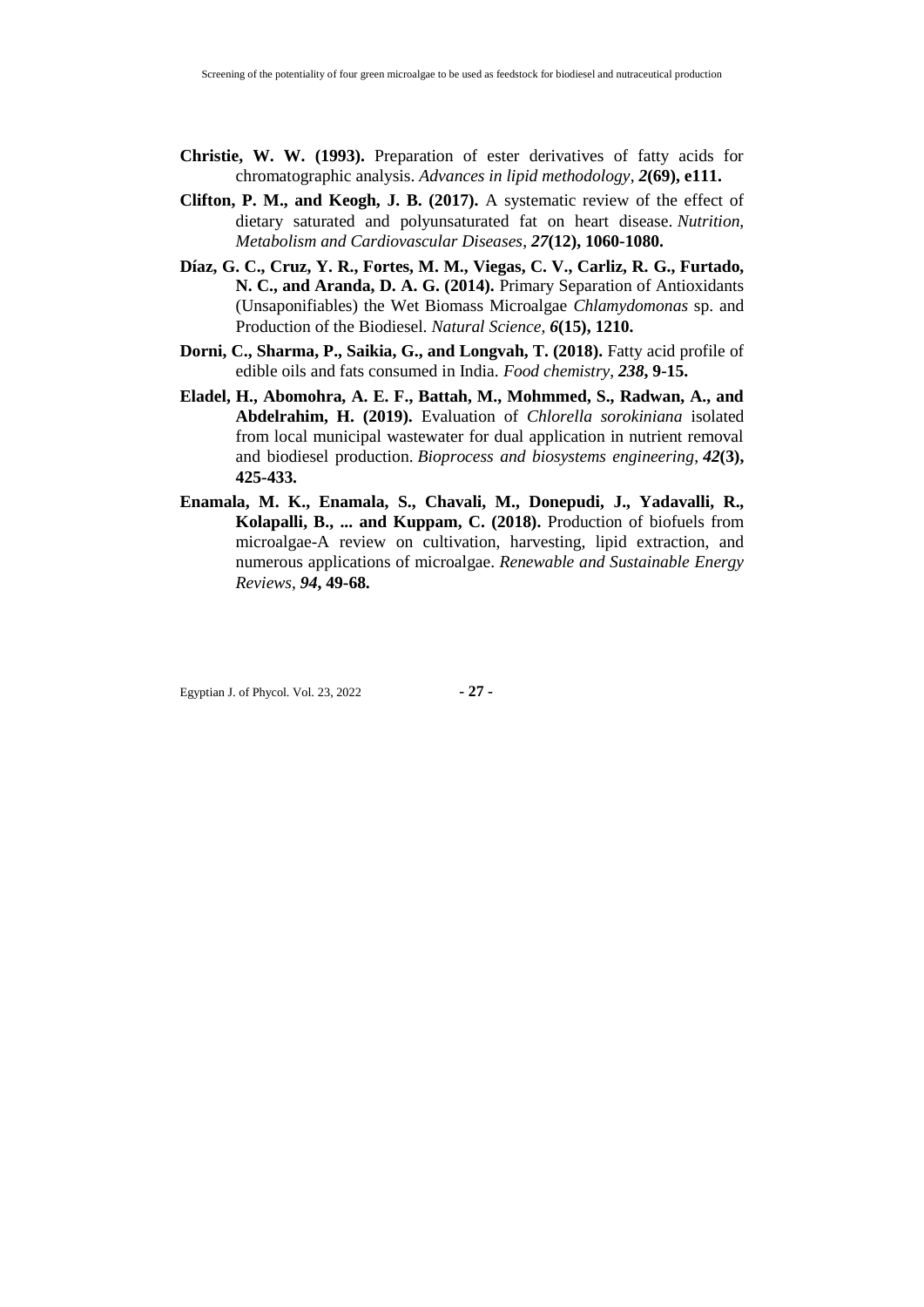- **Christie, W. W. (1993).** Preparation of ester derivatives of fatty acids for chromatographic analysis. *Advances in lipid methodology*, *2***(69), e111.**
- **Clifton, P. M., and Keogh, J. B. (2017).** A systematic review of the effect of dietary saturated and polyunsaturated fat on heart disease. *Nutrition, Metabolism and Cardiovascular Diseases*, *27***(12), 1060-1080.**
- **Díaz, G. C., Cruz, Y. R., Fortes, M. M., Viegas, C. V., Carliz, R. G., Furtado, N. C., and Aranda, D. A. G. (2014).** Primary Separation of Antioxidants (Unsaponifiables) the Wet Biomass Microalgae *Chlamydomonas* sp. and Production of the Biodiesel. *Natural Science*, *6***(15), 1210.**
- **Dorni, C., Sharma, P., Saikia, G., and Longvah, T. (2018).** Fatty acid profile of edible oils and fats consumed in India. *Food chemistry*, *238***, 9-15.**
- **Eladel, H., Abomohra, A. E. F., Battah, M., Mohmmed, S., Radwan, A., and Abdelrahim, H. (2019).** Evaluation of *Chlorella sorokiniana* isolated from local municipal wastewater for dual application in nutrient removal and biodiesel production. *Bioprocess and biosystems engineering*, *42***(3), 425-433.**
- **Enamala, M. K., Enamala, S., Chavali, M., Donepudi, J., Yadavalli, R., Kolapalli, B., ... and Kuppam, C. (2018).** Production of biofuels from microalgae-A review on cultivation, harvesting, lipid extraction, and numerous applications of microalgae. *Renewable and Sustainable Energy Reviews*, *94***, 49-68.**

Egyptian J. of Phycol. Vol. 23, 2022 **- 27 -**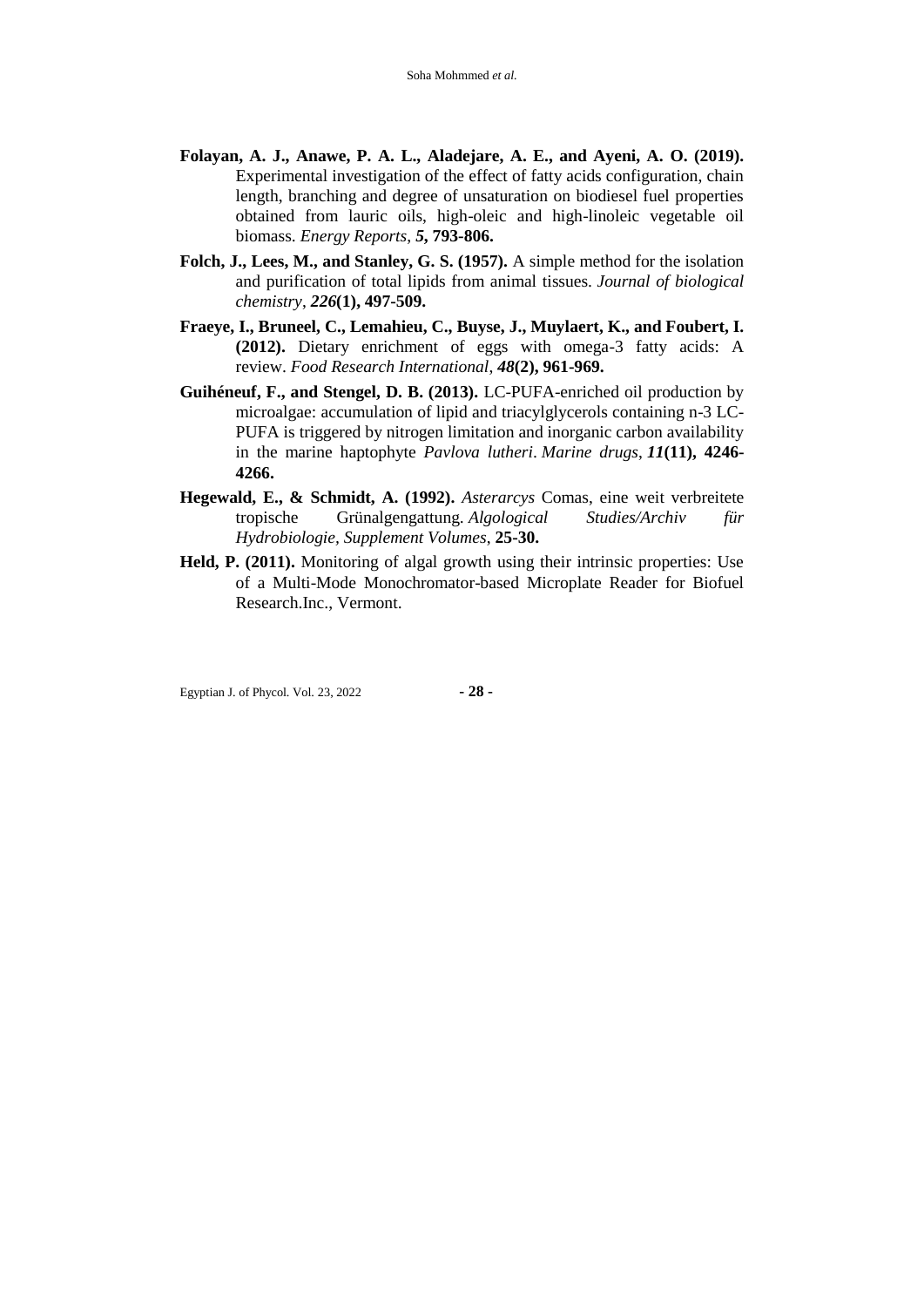- **Folayan, A. J., Anawe, P. A. L., Aladejare, A. E., and Ayeni, A. O. (2019).** Experimental investigation of the effect of fatty acids configuration, chain length, branching and degree of unsaturation on biodiesel fuel properties obtained from lauric oils, high-oleic and high-linoleic vegetable oil biomass. *Energy Reports*, *5***, 793-806.**
- **Folch, J., Lees, M., and Stanley, G. S. (1957).** A simple method for the isolation and purification of total lipids from animal tissues. *Journal of biological chemistry*, *226***(1), 497-509.**
- **Fraeye, I., Bruneel, C., Lemahieu, C., Buyse, J., Muylaert, K., and Foubert, I. (2012).** Dietary enrichment of eggs with omega-3 fatty acids: A review. *Food Research International*, *48***(2), 961-969.**
- **Guihéneuf, F., and Stengel, D. B. (2013).** LC-PUFA-enriched oil production by microalgae: accumulation of lipid and triacylglycerols containing n-3 LC-PUFA is triggered by nitrogen limitation and inorganic carbon availability in the marine haptophyte *Pavlova lutheri*. *Marine drugs*, *11***(11), 4246- 4266.**
- **Hegewald, E., & Schmidt, A. (1992).** *Asterarcys* Comas, eine weit verbreitete tropische Grünalgengattung. *Algological Studies/Archiv für Hydrobiologie, Supplement Volumes*, **25-30.**
- **Held, P. (2011).** Monitoring of algal growth using their intrinsic properties: Use of a Multi-Mode Monochromator-based Microplate Reader for Biofuel Research.Inc., Vermont.

Egyptian J. of Phycol. Vol. 23, 2022 **- 28 -**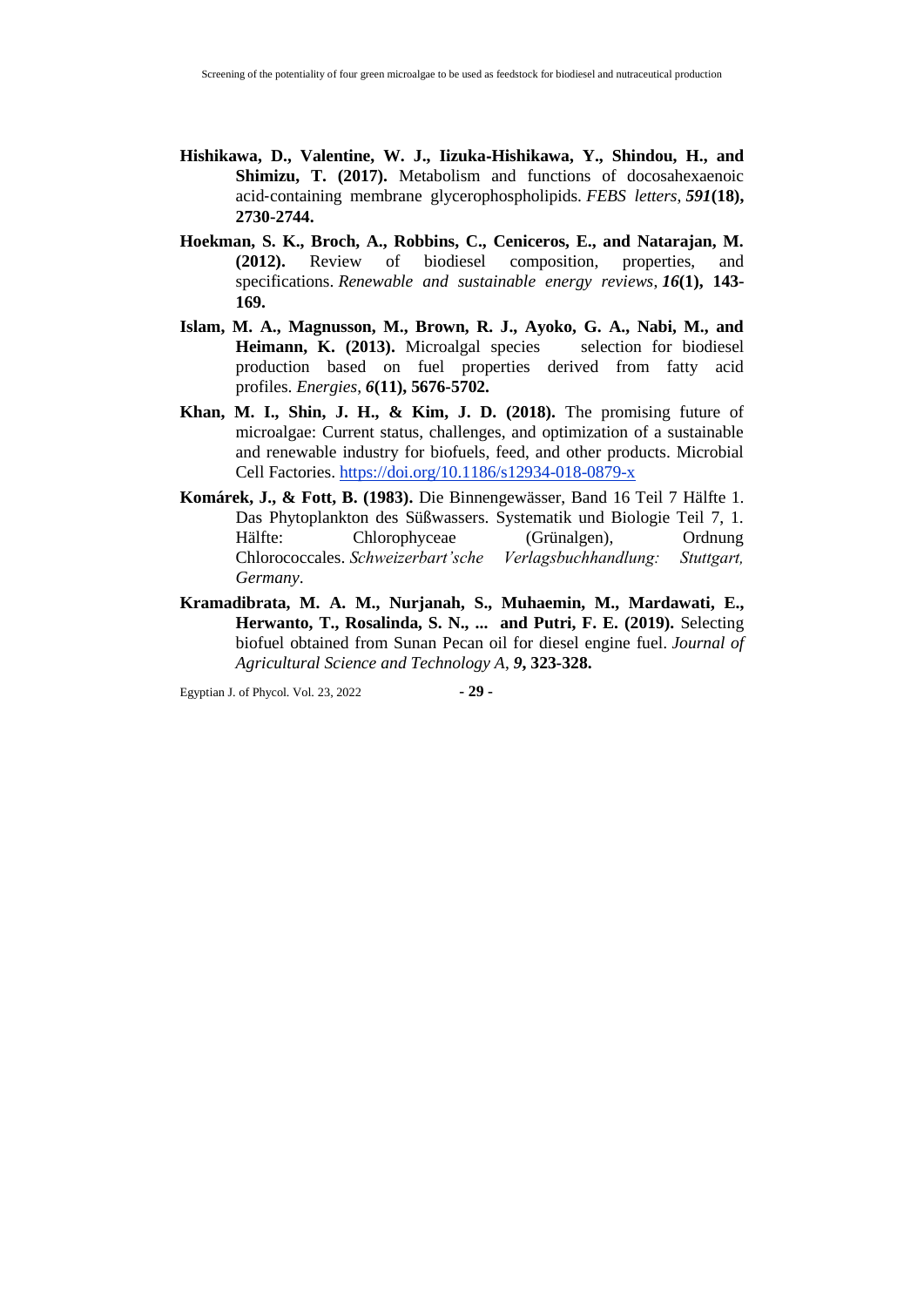- **Hishikawa, D., Valentine, W. J., Iizuka**‐**Hishikawa, Y., Shindou, H., and Shimizu, T. (2017).** Metabolism and functions of docosahexaenoic acid‐containing membrane glycerophospholipids. *FEBS letters*, *591***(18), 2730-2744.**
- **Hoekman, S. K., Broch, A., Robbins, C., Ceniceros, E., and Natarajan, M. (2012).** Review of biodiesel composition, properties, and specifications. *Renewable and sustainable energy reviews*, *16***(1), 143- 169.**
- **Islam, M. A., Magnusson, M., Brown, R. J., Ayoko, G. A., Nabi, M., and**  Heimann, K. (2013). Microalgal species selection for biodiesel production based on fuel properties derived from fatty acid profiles. *Energies*, *6***(11), 5676-5702.**
- **Khan, M. I., Shin, J. H., & Kim, J. D. (2018).** The promising future of microalgae: Current status, challenges, and optimization of a sustainable and renewable industry for biofuels, feed, and other products. Microbial Cell Factories.<https://doi.org/10.1186/s12934-018-0879-x>
- **Komárek, J., & Fott, B. (1983).** Die Binnengewässer, Band 16 Teil 7 Hälfte 1. Das Phytoplankton des Süßwassers. Systematik und Biologie Teil 7, 1. Hälfte: Chlorophyceae (Grünalgen), Ordnung Chlorococcales. *Schweizerbart'sche Verlagsbuchhandlung: Stuttgart, Germany*.
- **Kramadibrata, M. A. M., Nurjanah, S., Muhaemin, M., Mardawati, E., Herwanto, T., Rosalinda, S. N., ... and Putri, F. E. (2019).** Selecting biofuel obtained from Sunan Pecan oil for diesel engine fuel. *Journal of Agricultural Science and Technology A*, *9***, 323-328.**

Egyptian J. of Phycol. Vol. 23, 2022 **- 29 -**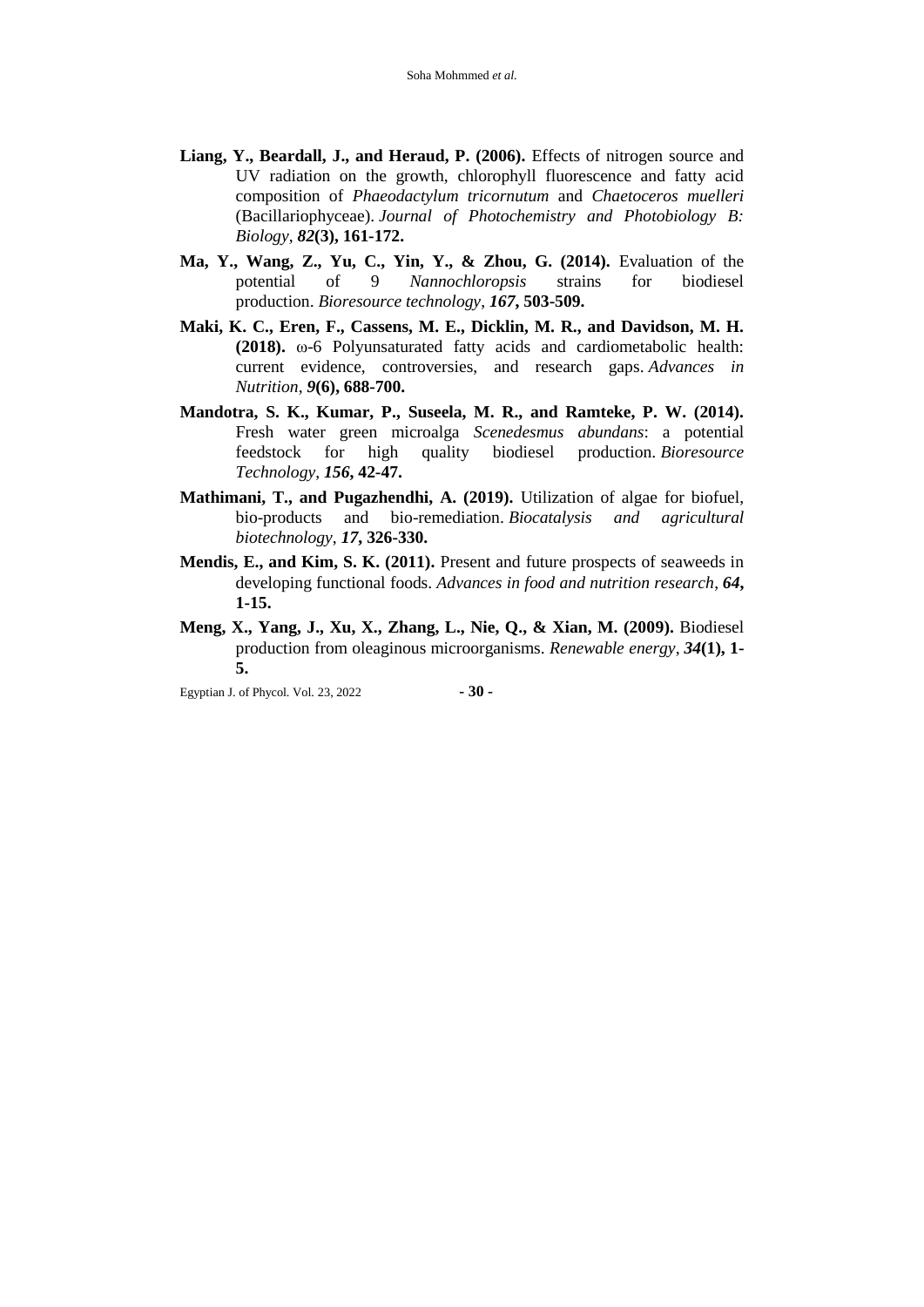- **Liang, Y., Beardall, J., and Heraud, P. (2006).** Effects of nitrogen source and UV radiation on the growth, chlorophyll fluorescence and fatty acid composition of *Phaeodactylum tricornutum* and *Chaetoceros muelleri* (Bacillariophyceae). *Journal of Photochemistry and Photobiology B: Biology*, *82***(3), 161-172.**
- **Ma, Y., Wang, Z., Yu, C., Yin, Y., & Zhou, G. (2014).** Evaluation of the potential of 9 *Nannochloropsis* strains for biodiesel production. *Bioresource technology*, *167***, 503-509.**
- **Maki, K. C., Eren, F., Cassens, M. E., Dicklin, M. R., and Davidson, M. H. (2018).** ω-6 Polyunsaturated fatty acids and cardiometabolic health: current evidence, controversies, and research gaps. *Advances in Nutrition*, *9***(6), 688-700.**
- **Mandotra, S. K., Kumar, P., Suseela, M. R., and Ramteke, P. W. (2014).**  Fresh water green microalga *Scenedesmus abundans*: a potential feedstock for high quality biodiesel production. *Bioresource Technology*, *156***, 42-47.**
- **Mathimani, T., and Pugazhendhi, A. (2019).** Utilization of algae for biofuel, bio-products and bio-remediation. *Biocatalysis and agricultural biotechnology*, *17***, 326-330.**
- **Mendis, E., and Kim, S. K. (2011).** Present and future prospects of seaweeds in developing functional foods. *Advances in food and nutrition research*, *64***, 1-15.**
- **Meng, X., Yang, J., Xu, X., Zhang, L., Nie, Q., & Xian, M. (2009).** Biodiesel production from oleaginous microorganisms. *Renewable energy*, *34***(1), 1- 5.**

Egyptian J. of Phycol. Vol. 23, 2022 **- 30 -**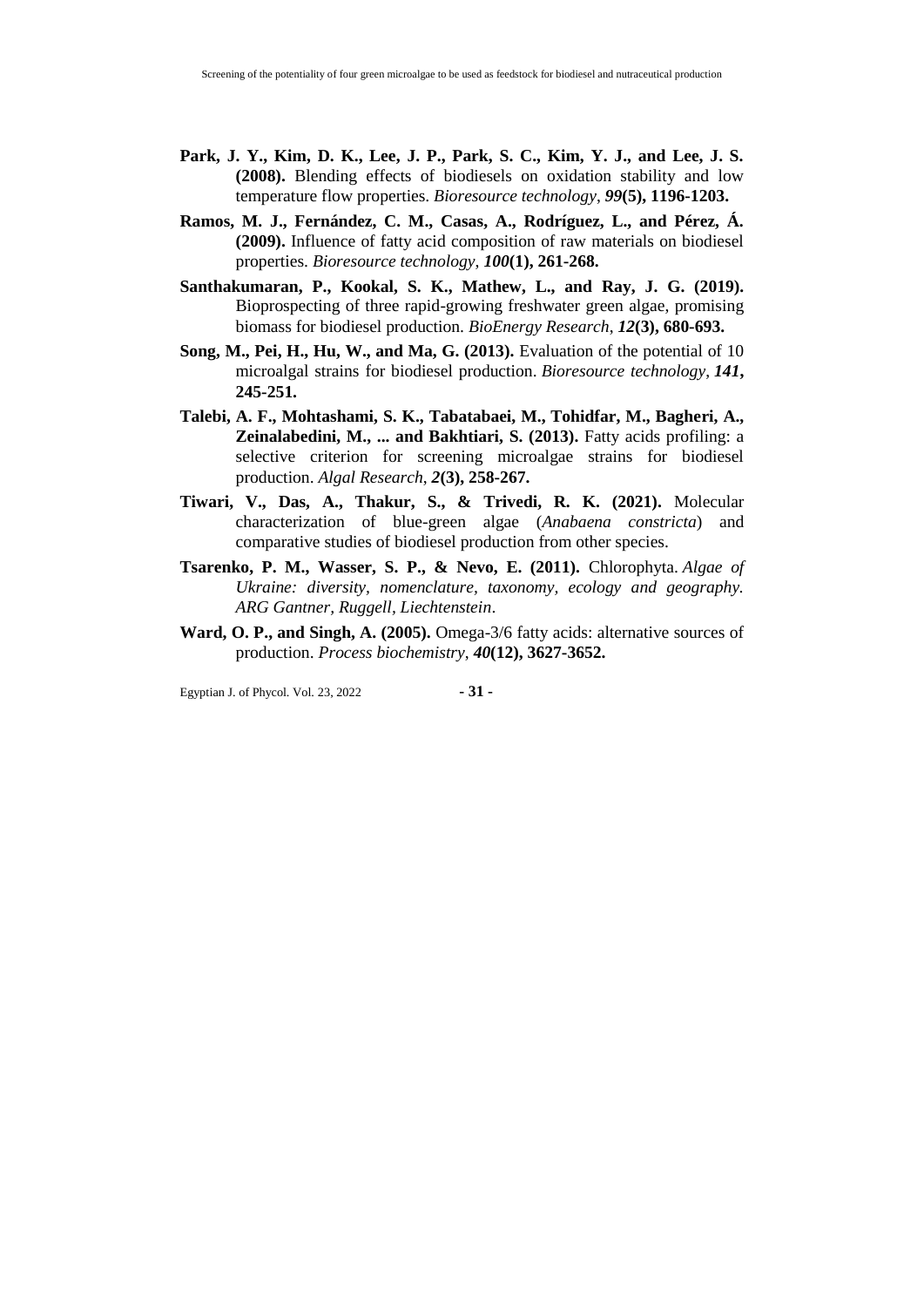- **Park, J. Y., Kim, D. K., Lee, J. P., Park, S. C., Kim, Y. J., and Lee, J. S. (2008).** Blending effects of biodiesels on oxidation stability and low temperature flow properties. *Bioresource technology*, *99***(5), 1196-1203.**
- **Ramos, M. J., Fernández, C. M., Casas, A., Rodríguez, L., and Pérez, Á. (2009).** Influence of fatty acid composition of raw materials on biodiesel properties. *Bioresource technology*, *100***(1), 261-268.**
- **Santhakumaran, P., Kookal, S. K., Mathew, L., and Ray, J. G. (2019).**  Bioprospecting of three rapid-growing freshwater green algae, promising biomass for biodiesel production. *BioEnergy Research*, *12***(3), 680-693.**
- **Song, M., Pei, H., Hu, W., and Ma, G. (2013).** Evaluation of the potential of 10 microalgal strains for biodiesel production. *Bioresource technology*, *141***, 245-251.**
- **Talebi, A. F., Mohtashami, S. K., Tabatabaei, M., Tohidfar, M., Bagheri, A., Zeinalabedini, M., ... and Bakhtiari, S. (2013).** Fatty acids profiling: a selective criterion for screening microalgae strains for biodiesel production. *Algal Research*, *2***(3), 258-267.**
- **Tiwari, V., Das, A., Thakur, S., & Trivedi, R. K. (2021).** Molecular characterization of blue-green algae (*Anabaena constricta*) and comparative studies of biodiesel production from other species.
- **Tsarenko, P. M., Wasser, S. P., & Nevo, E. (2011).** Chlorophyta. *Algae of Ukraine: diversity, nomenclature, taxonomy, ecology and geography. ARG Gantner, Ruggell, Liechtenstein*.
- **Ward, O. P., and Singh, A. (2005).** Omega-3/6 fatty acids: alternative sources of production. *Process biochemistry*, *40***(12), 3627-3652.**

Egyptian J. of Phycol. Vol. 23, 2022 **- 31 -**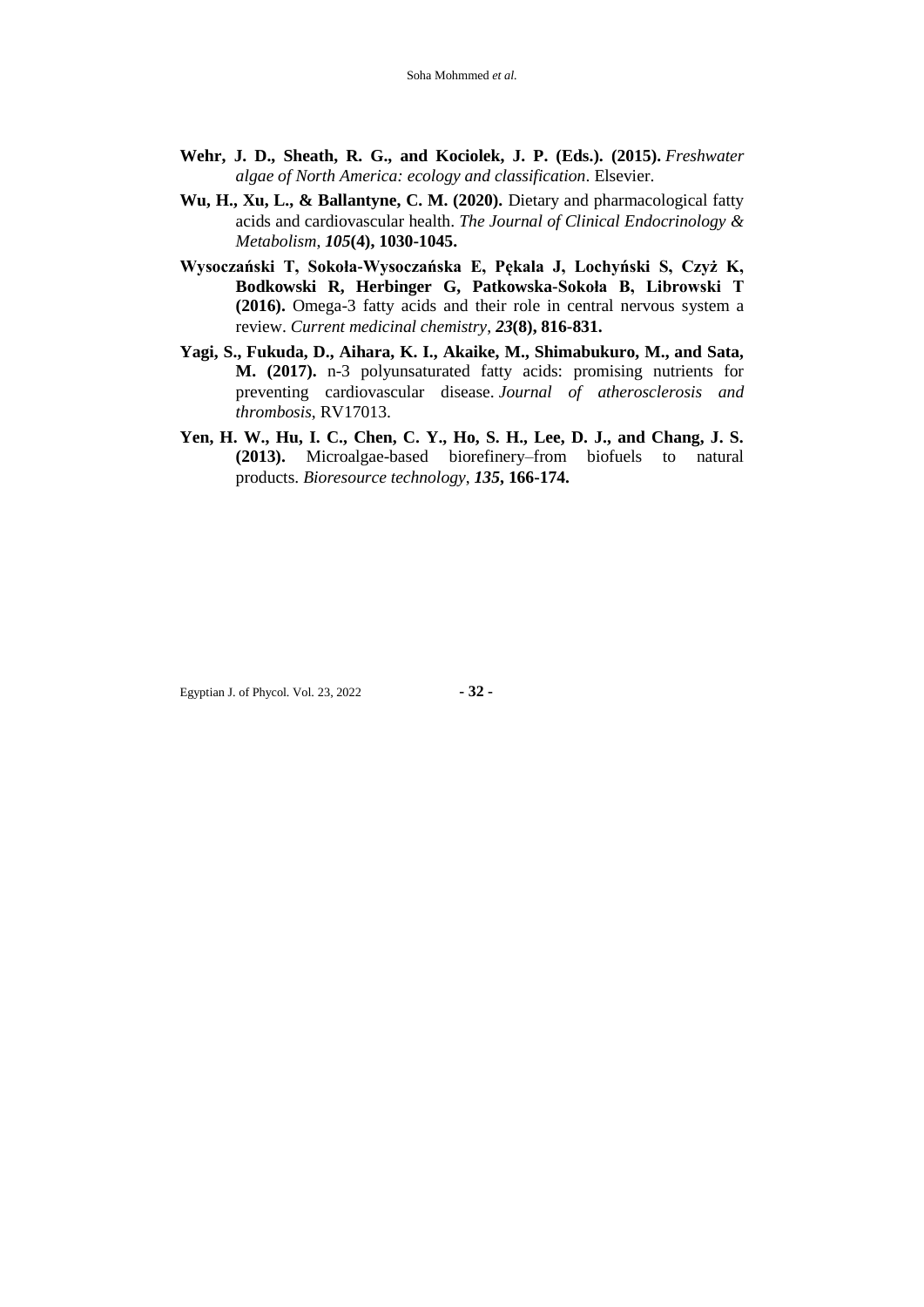- **Wehr, J. D., Sheath, R. G., and Kociolek, J. P. (Eds.). (2015).** *Freshwater algae of North America: ecology and classification*. Elsevier.
- **Wu, H., Xu, L., & Ballantyne, C. M. (2020).** Dietary and pharmacological fatty acids and cardiovascular health. *The Journal of Clinical Endocrinology & Metabolism*, *105***(4), 1030-1045.**
- **Wysoczański T, Sokoła-Wysoczańska E, Pękala J, Lochyński S, Czyż K, Bodkowski R, Herbinger G, Patkowska-Sokoła B, Librowski T (2016).** Omega-3 fatty acids and their role in central nervous system a review. *Current medicinal chemistry*, *23***(8), 816-831.**
- **Yagi, S., Fukuda, D., Aihara, K. I., Akaike, M., Shimabukuro, M., and Sata, M. (2017).** n-3 polyunsaturated fatty acids: promising nutrients for preventing cardiovascular disease. *Journal of atherosclerosis and thrombosis*, RV17013.
- **Yen, H. W., Hu, I. C., Chen, C. Y., Ho, S. H., Lee, D. J., and Chang, J. S. (2013).** Microalgae-based biorefinery–from biofuels to natural products. *Bioresource technology*, *135***, 166-174.**

Egyptian J. of Phycol. Vol. 23, 2022 **- 32 -**